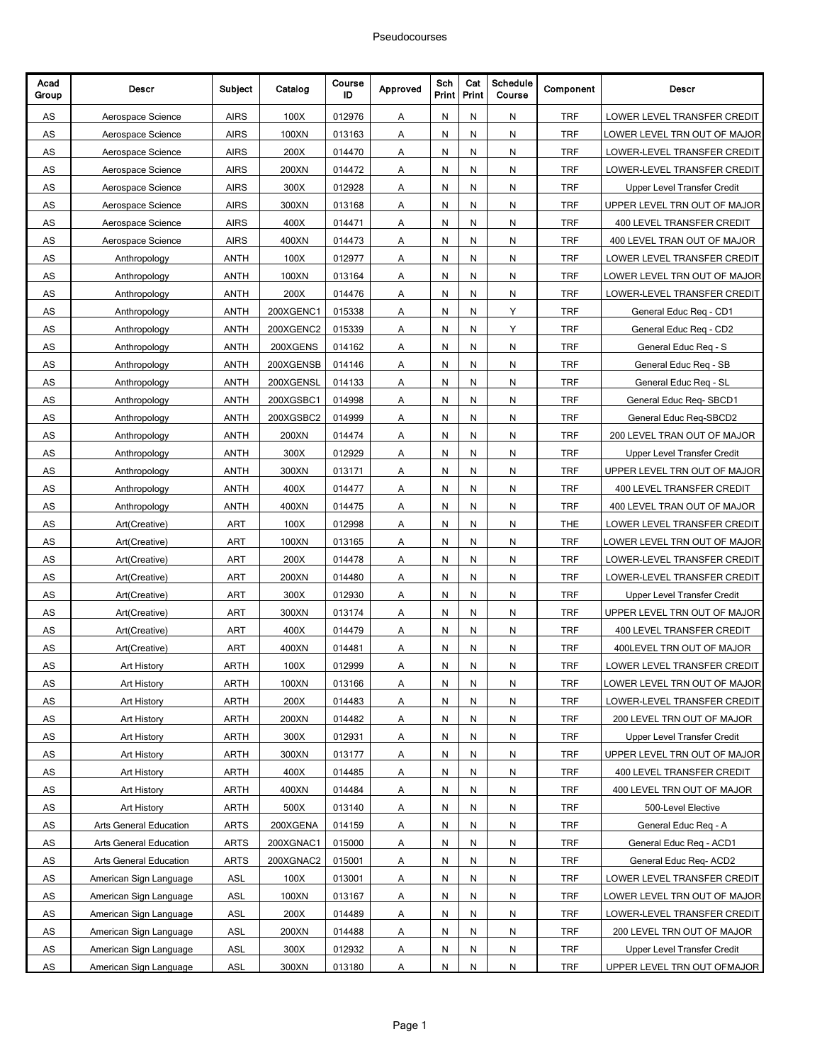| Acad<br>Group | Descr                         | Subject     | Catalog   | Course<br>ID | Approved | Sch<br>Print            | Cat<br>Print | Schedule<br>Course | Component  | <b>Descr</b>                       |
|---------------|-------------------------------|-------------|-----------|--------------|----------|-------------------------|--------------|--------------------|------------|------------------------------------|
| AS            | Aerospace Science             | <b>AIRS</b> | 100X      | 012976       | Α        | N                       | N            | N                  | <b>TRF</b> | LOWER LEVEL TRANSFER CREDIT        |
| AS            | Aerospace Science             | <b>AIRS</b> | 100XN     | 013163       | Α        | N                       | N            | N                  | <b>TRF</b> | LOWER LEVEL TRN OUT OF MAJOR       |
| AS            | Aerospace Science             | <b>AIRS</b> | 200X      | 014470       | Α        | Ν                       | N            | N                  | <b>TRF</b> | LOWER-LEVEL TRANSFER CREDIT        |
| AS            | Aerospace Science             | <b>AIRS</b> | 200XN     | 014472       | Α        | N                       | N            | N                  | <b>TRF</b> | LOWER-LEVEL TRANSFER CREDIT        |
| AS            | Aerospace Science             | <b>AIRS</b> | 300X      | 012928       | Α        | N                       | N            | N                  | <b>TRF</b> | <b>Upper Level Transfer Credit</b> |
| AS            | Aerospace Science             | <b>AIRS</b> | 300XN     | 013168       | Α        | N                       | N            | N                  | <b>TRF</b> | UPPER LEVEL TRN OUT OF MAJOR       |
| AS            | Aerospace Science             | <b>AIRS</b> | 400X      | 014471       | Α        | N                       | N            | N                  | <b>TRF</b> | 400 LEVEL TRANSFER CREDIT          |
| AS            | Aerospace Science             | <b>AIRS</b> | 400XN     | 014473       | Α        | N                       | N            | N                  | <b>TRF</b> | 400 LEVEL TRAN OUT OF MAJOR        |
| AS            | Anthropology                  | <b>ANTH</b> | 100X      | 012977       | Α        | N                       | N            | N                  | <b>TRF</b> | LOWER LEVEL TRANSFER CREDIT        |
| AS            | Anthropology                  | <b>ANTH</b> | 100XN     | 013164       | Α        | N                       | N            | N                  | <b>TRF</b> | LOWER LEVEL TRN OUT OF MAJOR       |
| AS            | Anthropology                  | ANTH        | 200X      | 014476       | Α        | N                       | N            | N                  | <b>TRF</b> | LOWER-LEVEL TRANSFER CREDIT        |
| AS            | Anthropology                  | <b>ANTH</b> | 200XGENC1 | 015338       | Α        | Ν                       | N            | Υ                  | <b>TRF</b> | General Educ Req - CD1             |
| AS            | Anthropology                  | <b>ANTH</b> | 200XGENC2 | 015339       | Α        | N                       | N            | Y                  | <b>TRF</b> | General Educ Req - CD2             |
| AS            | Anthropology                  | <b>ANTH</b> | 200XGENS  | 014162       | Α        | N                       | N            | N                  | <b>TRF</b> | General Educ Req - S               |
| AS            | Anthropology                  | <b>ANTH</b> | 200XGENSB | 014146       | Α        | N                       | N            | N                  | <b>TRF</b> | General Educ Req - SB              |
| AS            | Anthropology                  | ANTH        | 200XGENSL | 014133       | Α        | N                       | N            | N                  | <b>TRF</b> | General Educ Reg - SL              |
| AS            | Anthropology                  | ANTH        | 200XGSBC1 | 014998       | Α        | N                       | N            | N                  | <b>TRF</b> | General Educ Req-SBCD1             |
| AS            | Anthropology                  | <b>ANTH</b> | 200XGSBC2 | 014999       | Α        | N                       | N            | N                  | <b>TRF</b> | General Educ Req-SBCD2             |
| AS            | Anthropology                  | <b>ANTH</b> | 200XN     | 014474       | Α        | N                       | N            | N                  | <b>TRF</b> | 200 LEVEL TRAN OUT OF MAJOR        |
| AS            | Anthropology                  | <b>ANTH</b> | 300X      | 012929       | Α        | N                       | N            | N                  | <b>TRF</b> | <b>Upper Level Transfer Credit</b> |
| AS            | Anthropology                  | <b>ANTH</b> | 300XN     | 013171       | Α        | N                       | N            | N                  | <b>TRF</b> | UPPER LEVEL TRN OUT OF MAJOR       |
| AS            | Anthropology                  | ANTH        | 400X      | 014477       | Α        | Ν                       | N            | N                  | <b>TRF</b> | 400 LEVEL TRANSFER CREDIT          |
| AS            | Anthropology                  | <b>ANTH</b> | 400XN     | 014475       | Α        | N                       | N            | N                  | <b>TRF</b> | 400 LEVEL TRAN OUT OF MAJOR        |
| AS            | Art(Creative)                 | ART         | 100X      | 012998       | Α        | N                       | N            | N                  | <b>THE</b> | LOWER LEVEL TRANSFER CREDIT        |
| AS            | Art(Creative)                 | <b>ART</b>  | 100XN     | 013165       | Α        | N                       | N            | N                  | <b>TRF</b> | LOWER LEVEL TRN OUT OF MAJOR       |
| AS            | Art(Creative)                 | <b>ART</b>  | 200X      | 014478       | Α        | N                       | Ν            | N                  | <b>TRF</b> | LOWER-LEVEL TRANSFER CREDIT        |
| AS            | Art(Creative)                 | <b>ART</b>  | 200XN     | 014480       | Α        | N                       | N            | N                  | <b>TRF</b> | LOWER-LEVEL TRANSFER CREDIT        |
| AS            | Art(Creative)                 | ART         | 300X      | 012930       | Α        | N                       | N            | N                  | <b>TRF</b> | Upper Level Transfer Credit        |
| AS            | Art(Creative)                 | ART         | 300XN     | 013174       | Α        | N                       | N            | N                  | <b>TRF</b> | UPPER LEVEL TRN OUT OF MAJOR       |
| AS            | Art(Creative)                 | <b>ART</b>  | 400X      | 014479       | Α        | N                       | N            | N                  | <b>TRF</b> | 400 LEVEL TRANSFER CREDIT          |
| AS            | Art(Creative)                 | <b>ART</b>  | 400XN     | 014481       | Α        | Ν                       | N            | N                  | <b>TRF</b> | 400LEVEL TRN OUT OF MAJOR          |
| AS            | Art History                   | ARTH        | 100X      | 012999       | Α        | N                       | N            | N                  | <b>TRF</b> | LOWER LEVEL TRANSFER CREDIT        |
| AS            | Art History                   | ARTH        | 100XN     | 013166       | Α        | ${\sf N}$               | N            | Ν                  | <b>TRF</b> | LOWER LEVEL TRN OUT OF MAJOR       |
| ${\sf AS}$    | <b>Art History</b>            | <b>ARTH</b> | 200X      | 014483       | Α        | N                       | N            | N                  | <b>TRF</b> | LOWER-LEVEL TRANSFER CREDIT        |
| <b>AS</b>     | Art History                   | <b>ARTH</b> | 200XN     | 014482       | A        | $\overline{\mathsf{N}}$ | N,           | N                  | <b>TRF</b> | 200 LEVEL TRN OUT OF MAJOR         |
| ${\sf AS}$    | Art History                   | <b>ARTH</b> | 300X      | 012931       | Α        | N                       | N            | N                  | <b>TRF</b> | <b>Upper Level Transfer Credit</b> |
| ${\sf AS}$    | Art History                   | ARTH        | 300XN     | 013177       | А        | N                       | N            | N                  | <b>TRF</b> | UPPER LEVEL TRN OUT OF MAJOR       |
| ${\sf AS}$    | Art History                   | ARTH        | 400X      | 014485       | Α        | N                       | N            | N                  | <b>TRF</b> | 400 LEVEL TRANSFER CREDIT          |
| ${\sf AS}$    | <b>Art History</b>            | ARTH        | 400XN     | 014484       | Α        | N                       | N            | N                  | <b>TRF</b> | 400 LEVEL TRN OUT OF MAJOR         |
| <b>AS</b>     | Art History                   | <b>ARTH</b> | 500X      | 013140       | A        | $\overline{\mathsf{N}}$ | N,           | N                  | <b>TRF</b> | 500-Level Elective                 |
| ${\sf AS}$    | <b>Arts General Education</b> | <b>ARTS</b> | 200XGENA  | 014159       | Α        | N                       | N            | N                  | <b>TRF</b> | General Educ Req - A               |
| ${\sf AS}$    | Arts General Education        | <b>ARTS</b> | 200XGNAC1 | 015000       | А        | N                       | N            | N                  | <b>TRF</b> | General Educ Req - ACD1            |
| $\mathsf{AS}$ | Arts General Education        | <b>ARTS</b> | 200XGNAC2 | 015001       | А        | N                       | N            | N                  | <b>TRF</b> | General Educ Req- ACD2             |
| ${\sf AS}$    | American Sign Language        | <b>ASL</b>  | 100X      | 013001       | Α        | Ν                       | N            | N                  | <b>TRF</b> | LOWER LEVEL TRANSFER CREDIT        |
| <b>AS</b>     | American Sign Language        | <b>ASL</b>  | 100XN     | 013167       | A        | $\overline{\mathsf{N}}$ | N,           | N                  | <b>TRF</b> | LOWER LEVEL TRN OUT OF MAJOR       |
| AS            | American Sign Language        | <b>ASL</b>  | 200X      | 014489       | Α        | N                       | N            | N                  | <b>TRF</b> | LOWER-LEVEL TRANSFER CREDIT        |
| ${\sf AS}$    | American Sign Language        | <b>ASL</b>  | 200XN     | 014488       | А        | Ν                       | N            | N                  | <b>TRF</b> | 200 LEVEL TRN OUT OF MAJOR         |
| $\mathsf{AS}$ | American Sign Language        | <b>ASL</b>  | 300X      | 012932       | Α        | N                       | N            | N                  | <b>TRF</b> | Upper Level Transfer Credit        |
| ${\sf AS}$    | American Sign Language        | <b>ASL</b>  | 300XN     | 013180       | Α        | N                       | N            | N                  | <b>TRF</b> | UPPER LEVEL TRN OUT OFMAJOR        |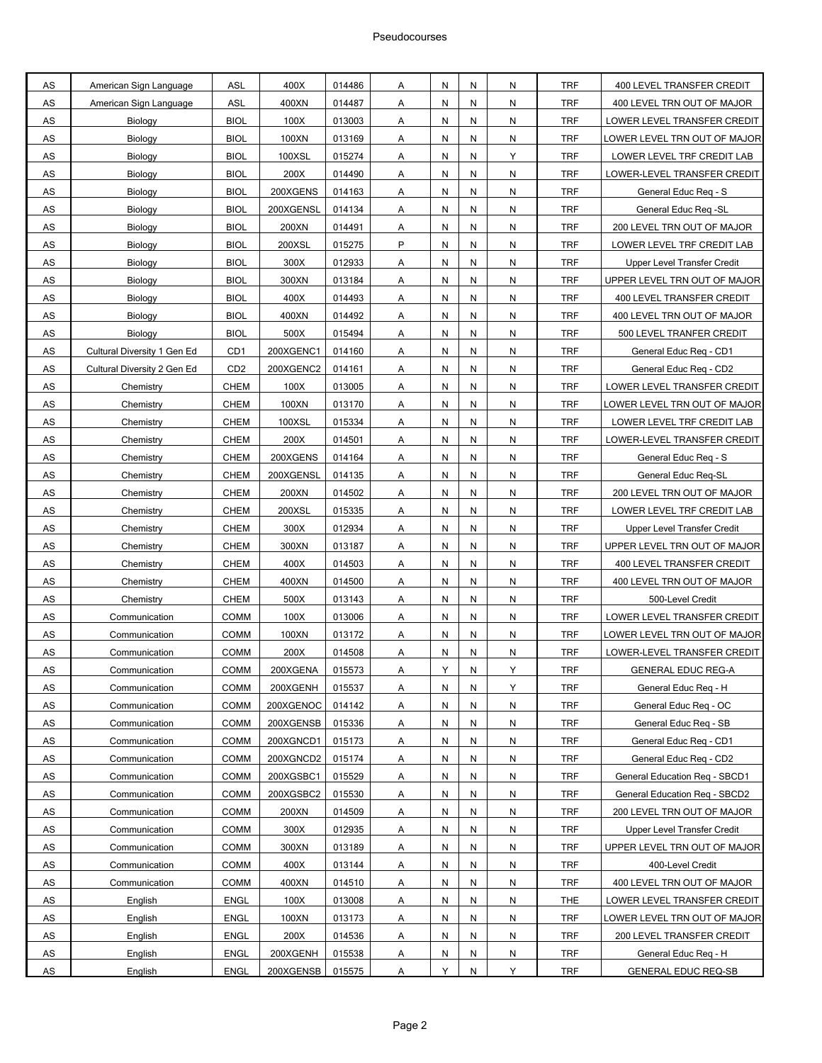| AS                  | American Sign Language      | ASL                        | 400X          | 014486           | A              | Ν      | N      | N         | <b>TRF</b>               | 400 LEVEL TRANSFER CREDIT                                 |
|---------------------|-----------------------------|----------------------------|---------------|------------------|----------------|--------|--------|-----------|--------------------------|-----------------------------------------------------------|
| AS                  | American Sign Language      | ASL                        | 400XN         | 014487           | Α              | Ν      | N      | N         | <b>TRF</b>               | 400 LEVEL TRN OUT OF MAJOR                                |
| ${\sf AS}$          | Biology                     | <b>BIOL</b>                | 100X          | 013003           | Α              | N      | N      | N         | <b>TRF</b>               | LOWER LEVEL TRANSFER CREDIT                               |
| AS                  | Biology                     | <b>BIOL</b>                | 100XN         | 013169           | Α              | N      | N      | N         | <b>TRF</b>               | LOWER LEVEL TRN OUT OF MAJOR                              |
| AS                  | Biology                     | <b>BIOL</b>                | 100XSL        | 015274           | Α              | Ν      | N      | Υ         | <b>TRF</b>               | LOWER LEVEL TRF CREDIT LAB                                |
| AS                  | Biology                     | <b>BIOL</b>                | 200X          | 014490           | Α              | Ν      | N      | N         | <b>TRF</b>               | LOWER-LEVEL TRANSFER CREDIT                               |
| AS                  | Biology                     | <b>BIOL</b>                | 200XGENS      | 014163           | Α              | Ν      | N      | N         | <b>TRF</b>               | General Educ Req - S                                      |
| AS                  | Biology                     | <b>BIOL</b>                | 200XGENSL     | 014134           | Α              | N      | N      | N         | <b>TRF</b>               | General Educ Reg -SL                                      |
| AS                  | Biology                     | <b>BIOL</b>                | 200XN         | 014491           | Α              | N      | N      | N         | <b>TRF</b>               | 200 LEVEL TRN OUT OF MAJOR                                |
| AS                  | Biology                     | <b>BIOL</b>                | 200XSL        | 015275           | P              | Ν      | N      | N         | <b>TRF</b>               | LOWER LEVEL TRF CREDIT LAB                                |
| AS                  | Biology                     | <b>BIOL</b>                | 300X          | 012933           | Α              | Ν      | N      | N         | <b>TRF</b>               | Upper Level Transfer Credit                               |
| AS                  | Biology                     | <b>BIOL</b>                | 300XN         | 013184           | Α              | Ν      | N      | N         | <b>TRF</b>               | UPPER LEVEL TRN OUT OF MAJOR                              |
| AS                  | Biology                     | <b>BIOL</b>                | 400X          | 014493           | Α              | N      | N      | N         | <b>TRF</b>               | 400 LEVEL TRANSFER CREDIT                                 |
| AS                  | Biology                     | <b>BIOL</b>                | 400XN         | 014492           | Α              | N      | N      | N         | <b>TRF</b>               | 400 LEVEL TRN OUT OF MAJOR                                |
| <b>AS</b>           | Biology                     | <b>BIOL</b>                | 500X          | 015494           | A              | Ν      | N      | N         | <b>TRF</b>               | 500 LEVEL TRANFER CREDIT                                  |
| AS                  | Cultural Diversity 1 Gen Ed | CD <sub>1</sub>            | 200XGENC1     | 014160           | Α              | Ν      | N      | N         | <b>TRF</b>               | General Educ Reg - CD1                                    |
| AS                  | Cultural Diversity 2 Gen Ed | CD <sub>2</sub>            | 200XGENC2     | 014161           | Α              | Ν      | N      | N         | <b>TRF</b>               | General Educ Reg - CD2                                    |
| ${\sf AS}$          | Chemistry                   | <b>CHEM</b>                | 100X          | 013005           | A              | N      | N      | N         | <b>TRF</b>               | LOWER LEVEL TRANSFER CREDIT                               |
| AS                  | Chemistry                   | <b>CHEM</b>                | 100XN         | 013170           | Α              | Ν      | N      | N         | <b>TRF</b>               | LOWER LEVEL TRN OUT OF MAJOR                              |
| AS                  | Chemistry                   | <b>CHEM</b>                | 100XSL        | 015334           | A              | Ν      | N      | N         | <b>TRF</b>               | LOWER LEVEL TRF CREDIT LAB                                |
| AS                  | Chemistry                   | CHEM                       | 200X          | 014501           | Α              | Ν      | N      | N         | <b>TRF</b>               | LOWER-LEVEL TRANSFER CREDIT                               |
| AS                  | Chemistry                   | <b>CHEM</b>                | 200XGENS      | 014164           | Α              | Ν      | N      | N         | <b>TRF</b>               | General Educ Req - S                                      |
| AS                  | Chemistry                   | <b>CHEM</b>                | 200XGENSL     | 014135           | Α              | N      | N      | ${\sf N}$ | <b>TRF</b>               | General Educ Req-SL                                       |
| AS                  | Chemistry                   | <b>CHEM</b>                | 200XN         | 014502           | Α              | N      | N      | N         | <b>TRF</b>               | 200 LEVEL TRN OUT OF MAJOR                                |
| AS                  | Chemistry                   | <b>CHEM</b>                | 200XSL        | 015335           | A              | N      | N      | N         | <b>TRF</b>               | LOWER LEVEL TRF CREDIT LAB                                |
| AS                  | Chemistry                   | CHEM                       | 300X          | 012934           | Α              | Ν      | N      | N         | <b>TRF</b>               | <b>Upper Level Transfer Credit</b>                        |
| AS                  | Chemistry                   | <b>CHEM</b>                | 300XN         | 013187           | Α              | Ν      | N      | N         | <b>TRF</b>               | UPPER LEVEL TRN OUT OF MAJOR                              |
| ${\sf AS}$          | Chemistry                   | <b>CHEM</b>                | 400X          | 014503           | A              | N      | N      | N         | <b>TRF</b>               | 400 LEVEL TRANSFER CREDIT                                 |
| AS                  | Chemistry                   | <b>CHEM</b>                | 400XN         | 014500           | A              | N      | N      | N         | <b>TRF</b>               | 400 LEVEL TRN OUT OF MAJOR                                |
| AS                  | Chemistry                   | <b>CHEM</b>                | 500X          | 013143           | A              | N      | N      | N         | <b>TRF</b>               | 500-Level Credit                                          |
| AS                  | Communication               | <b>COMM</b>                | 100X          | 013006           | A              | Ν      | N      | N         | <b>TRF</b>               | LOWER LEVEL TRANSFER CREDIT                               |
| AS                  | Communication               | <b>COMM</b>                | 100XN         | 013172           | Α              | Ν      | N      | N         | <b>TRF</b>               | LOWER LEVEL TRN OUT OF MAJOR                              |
| AS                  | Communication               | COMM                       | 200X          | 014508           | Α              | N      | N      | N         | <b>TRF</b>               | LOWER-LEVEL TRANSFER CREDIT                               |
| <b>AS</b>           | Communication               | <b>COMM</b>                | 200XGENA      | 015573           | A              | Y      | N      | Y         | <b>TRF</b>               | <b>GENERAL EDUC REG-A</b>                                 |
| <b>AS</b>           | Communication               | COMM                       | 200XGENH      | 015537           | A              | Ν      | N      | Y         | <b>TRF</b>               | General Educ Reg - H                                      |
| AS                  | Communication               | COMM                       | 200XGENOC     | 014142           | A              | Ν      | N      | N         | <b>TRF</b>               | General Educ Reg - OC                                     |
| ${\sf AS}$          | Communication               | <b>COMM</b>                | 200XGENSB     | 015336           | Α              | N      | N      | N         | <b>TRF</b>               | General Educ Reg - SB                                     |
| ${\sf AS}$          | Communication               | <b>COMM</b>                | 200XGNCD1     | 015173           | A              | N      | N      | N         | <b>TRF</b>               | General Educ Req - CD1                                    |
| $\mathsf{AS}$       | Communication               | COMM                       | 200XGNCD2     | 015174           | Α              | N      | N      | N         | <b>TRF</b>               | General Educ Req - CD2                                    |
| <b>AS</b>           | Communication               | <b>COMM</b>                | 200XGSBC1     | 015529           | $\overline{A}$ | N      | N      | N         | <b>TRF</b>               | General Education Reg - SBCD1                             |
| AS                  | Communication               | COMM                       | 200XGSBC2     | 015530           | A              | Ν      | N      | N         | <b>TRF</b>               | General Education Req - SBCD2                             |
| AS                  | Communication               | <b>COMM</b>                | 200XN         | 014509           | Α              | N      | N      | N         | <b>TRF</b>               | 200 LEVEL TRN OUT OF MAJOR                                |
| $\mathsf{AS}$       | Communication               | COMM                       | 300X          | 012935           | A              | N      | N      | N         | <b>TRF</b>               | <b>Upper Level Transfer Credit</b>                        |
| $\mathsf{AS}$       | Communication               | <b>COMM</b>                | 300XN         | 013189           | A              | N      | N      | N         | <b>TRF</b>               | UPPER LEVEL TRN OUT OF MAJOR                              |
| <b>AS</b>           | Communication               | COMM                       | 400X          | 013144           | $\overline{A}$ | N      | N      | N         | <b>TRF</b>               | 400-Level Credit                                          |
|                     |                             |                            |               |                  |                |        |        |           |                          |                                                           |
| AS<br>$\mathsf{AS}$ | Communication               | <b>COMM</b><br><b>ENGL</b> | 400XN<br>100X | 014510<br>013008 | A              | N<br>N | N<br>N | N<br>N    | <b>TRF</b><br><b>THE</b> | 400 LEVEL TRN OUT OF MAJOR<br>LOWER LEVEL TRANSFER CREDIT |
| $\mathsf{AS}$       | English<br>English          | <b>ENGL</b>                | 100XN         | 013173           | A              | N      | N      | N         | <b>TRF</b>               | LOWER LEVEL TRN OUT OF MAJOR                              |
| AS                  |                             | <b>ENGL</b>                | 200X          | 014536           | A              |        |        |           | <b>TRF</b>               |                                                           |
|                     | English                     |                            |               |                  | A              | N      | N      | N         |                          | 200 LEVEL TRANSFER CREDIT                                 |
| <b>AS</b>           | English                     | <b>ENGL</b>                | 200XGENH      | 015538           | $\overline{A}$ | N      | N      | N         | <b>TRF</b>               | General Educ Reg - H                                      |
| <b>AS</b>           | English                     | <b>ENGL</b>                | 200XGENSB     | 015575           | Α              | Y      | N      | Υ         | <b>TRF</b>               | <b>GENERAL EDUC REQ-SB</b>                                |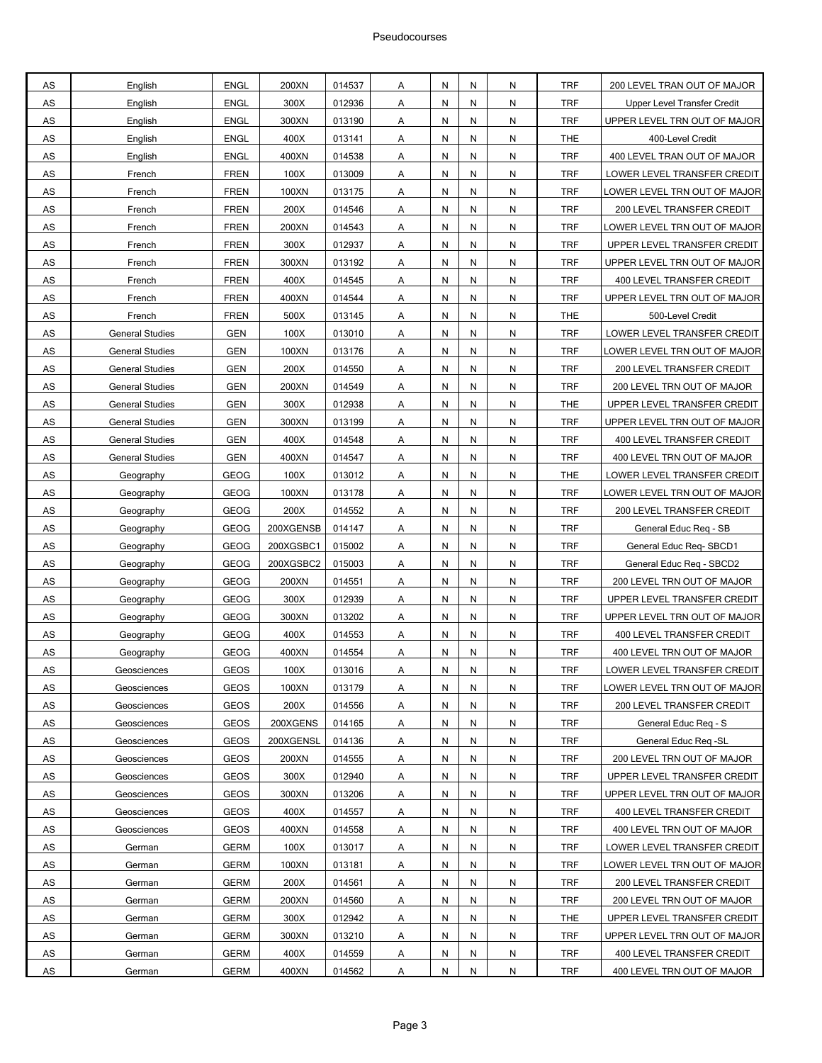| AS        | English                | <b>ENGL</b> | 200XN     | 014537 | Α                       | N | N | N | <b>TRF</b> | 200 LEVEL TRAN OUT OF MAJOR  |
|-----------|------------------------|-------------|-----------|--------|-------------------------|---|---|---|------------|------------------------------|
| AS        | English                | <b>ENGL</b> | 300X      | 012936 | Α                       | N | N | N | <b>TRF</b> | Upper Level Transfer Credit  |
| AS        | English                | <b>ENGL</b> | 300XN     | 013190 | Α                       | N | N | N | <b>TRF</b> | UPPER LEVEL TRN OUT OF MAJOR |
| AS        | English                | <b>ENGL</b> | 400X      | 013141 | Α                       | N | N | N | <b>THE</b> | 400-Level Credit             |
| AS        | English                | <b>ENGL</b> | 400XN     | 014538 | Α                       | N | N | N | <b>TRF</b> | 400 LEVEL TRAN OUT OF MAJOR  |
| AS        | French                 | <b>FREN</b> | 100X      | 013009 | Α                       | N | N | N | <b>TRF</b> | LOWER LEVEL TRANSFER CREDIT  |
| AS        | French                 | <b>FREN</b> | 100XN     | 013175 | Α                       | N | N | N | <b>TRF</b> | LOWER LEVEL TRN OUT OF MAJOR |
| AS        | French                 | <b>FREN</b> | 200X      | 014546 | Α                       | N | N | N | <b>TRF</b> | 200 LEVEL TRANSFER CREDIT    |
| AS        | French                 | <b>FREN</b> | 200XN     | 014543 | Α                       | N | N | N | <b>TRF</b> | LOWER LEVEL TRN OUT OF MAJOR |
| AS        | French                 | <b>FREN</b> | 300X      | 012937 | Α                       | N | N | N | <b>TRF</b> | UPPER LEVEL TRANSFER CREDIT  |
| AS        | French                 | <b>FREN</b> | 300XN     | 013192 | Α                       | N | N | N | <b>TRF</b> | UPPER LEVEL TRN OUT OF MAJOR |
| AS        | French                 | <b>FREN</b> | 400X      | 014545 | Α                       | N | N | N | <b>TRF</b> | 400 LEVEL TRANSFER CREDIT    |
| AS        | French                 | <b>FREN</b> | 400XN     | 014544 | Α                       | N | N | N | <b>TRF</b> | UPPER LEVEL TRN OUT OF MAJOR |
| AS        | French                 | <b>FREN</b> | 500X      | 013145 | Α                       | N | N | N | <b>THE</b> | 500-Level Credit             |
| AS        | <b>General Studies</b> | <b>GEN</b>  | 100X      | 013010 | Α                       | N | N | N | <b>TRF</b> | LOWER LEVEL TRANSFER CREDIT  |
| AS        | <b>General Studies</b> | <b>GEN</b>  | 100XN     | 013176 | Α                       | N | N | N | <b>TRF</b> | LOWER LEVEL TRN OUT OF MAJOR |
| AS        | <b>General Studies</b> | <b>GEN</b>  | 200X      | 014550 | Α                       | N | N | N | <b>TRF</b> | 200 LEVEL TRANSFER CREDIT    |
| AS        | <b>General Studies</b> | <b>GEN</b>  | 200XN     | 014549 | Α                       | N | N | N | <b>TRF</b> | 200 LEVEL TRN OUT OF MAJOR   |
| AS        | <b>General Studies</b> | <b>GEN</b>  | 300X      | 012938 | Α                       | N | N | N | <b>THE</b> | UPPER LEVEL TRANSFER CREDIT  |
| AS        | <b>General Studies</b> | <b>GEN</b>  | 300XN     | 013199 | Α                       | N | N | N | <b>TRF</b> | UPPER LEVEL TRN OUT OF MAJOR |
| AS        | <b>General Studies</b> | <b>GEN</b>  | 400X      | 014548 | Α                       | N | N | N | <b>TRF</b> | 400 LEVEL TRANSFER CREDIT    |
| AS        | <b>General Studies</b> | <b>GEN</b>  | 400XN     | 014547 | Α                       | N | N | N | <b>TRF</b> | 400 LEVEL TRN OUT OF MAJOR   |
| AS        | Geography              | <b>GEOG</b> | 100X      | 013012 | Α                       | N | N | N | <b>THE</b> | LOWER LEVEL TRANSFER CREDIT  |
| AS        | Geography              | GEOG        | 100XN     | 013178 | Α                       | N | N | N | <b>TRF</b> | LOWER LEVEL TRN OUT OF MAJOR |
| AS        | Geography              | <b>GEOG</b> | 200X      | 014552 | Α                       | N | N | N | <b>TRF</b> | 200 LEVEL TRANSFER CREDIT    |
| AS        | Geography              | <b>GEOG</b> | 200XGENSB | 014147 | Α                       | N | N | N | <b>TRF</b> | General Educ Req - SB        |
| AS        | Geography              | <b>GEOG</b> | 200XGSBC1 | 015002 | Α                       | N | N | N | <b>TRF</b> | General Educ Req-SBCD1       |
| AS        | Geography              | <b>GEOG</b> | 200XGSBC2 | 015003 | Α                       | N | N | N | <b>TRF</b> | General Educ Req - SBCD2     |
| AS        | Geography              | <b>GEOG</b> | 200XN     | 014551 | Α                       | N | N | N | <b>TRF</b> | 200 LEVEL TRN OUT OF MAJOR   |
| AS        | Geography              | <b>GEOG</b> | 300X      | 012939 | Α                       | N | N | N | <b>TRF</b> | UPPER LEVEL TRANSFER CREDIT  |
| AS        | Geography              | <b>GEOG</b> | 300XN     | 013202 | Α                       | N | N | N | <b>TRF</b> | UPPER LEVEL TRN OUT OF MAJOR |
| AS        | Geography              | <b>GEOG</b> | 400X      | 014553 | Α                       | N | N | N | <b>TRF</b> | 400 LEVEL TRANSFER CREDIT    |
| AS        | Geography              | <b>GEOG</b> | 400XN     | 014554 | Α                       | N | Ν | N | <b>TRF</b> | 400 LEVEL TRN OUT OF MAJOR   |
| AS        | Geosciences            | <b>GEOS</b> | 100X      | 013016 | Α                       | N | Ν | N | <b>TRF</b> | LOWER LEVEL TRANSFER CREDIT  |
| AS        | Geosciences            | <b>GEOS</b> | 100XN     | 013179 | Α                       | N | N | N | <b>TRF</b> | LOWER LEVEL TRN OUT OF MAJOR |
| AS        | Geosciences            | <b>GEOS</b> | 200X      | 014556 | Α                       | N | N | N | <b>TRF</b> | 200 LEVEL TRANSFER CREDIT    |
| AS        | Geosciences            | <b>GEOS</b> | 200XGENS  | 014165 | Α                       | N | N | N | <b>TRF</b> | General Educ Req - S         |
| AS        | Geosciences            | <b>GEOS</b> | 200XGENSL | 014136 | Α                       | N | N | N | <b>TRF</b> | General Educ Req -SL         |
| AS        | Geosciences            | <b>GEOS</b> | 200XN     | 014555 | Α                       | N | N | N | <b>TRF</b> | 200 LEVEL TRN OUT OF MAJOR   |
| AS        | Geosciences            | <b>GEOS</b> | 300X      | 012940 | Α                       | N | N | N | <b>TRF</b> | UPPER LEVEL TRANSFER CREDIT  |
| AS        | Geosciences            | <b>GEOS</b> | 300XN     | 013206 | A                       | N | N | N | <b>TRF</b> | UPPER LEVEL TRN OUT OF MAJOR |
| AS        | Geosciences            | <b>GEOS</b> | 400X      | 014557 | $\overline{A}$          | N | N | N | <b>TRF</b> | 400 LEVEL TRANSFER CREDIT    |
| AS        | Geosciences            | <b>GEOS</b> | 400XN     | 014558 | Α                       | N | N | N | <b>TRF</b> | 400 LEVEL TRN OUT OF MAJOR   |
| AS        | German                 | <b>GERM</b> | 100X      | 013017 | Α                       | N | N | N | <b>TRF</b> | LOWER LEVEL TRANSFER CREDIT  |
| AS        | German                 | <b>GERM</b> | 100XN     | 013181 | Α                       | N | N | N | <b>TRF</b> | LOWER LEVEL TRN OUT OF MAJOR |
| AS        | German                 | <b>GERM</b> | 200X      | 014561 | A                       | N | N | N | <b>TRF</b> | 200 LEVEL TRANSFER CREDIT    |
| AS        | German                 | <b>GERM</b> | 200XN     | 014560 | Α                       | N | N | N | <b>TRF</b> | 200 LEVEL TRN OUT OF MAJOR   |
| AS        | German                 | <b>GERM</b> | 300X      | 012942 | Α                       | N | N | N | <b>THE</b> | UPPER LEVEL TRANSFER CREDIT  |
| AS        | German                 | <b>GERM</b> | 300XN     | 013210 | Α                       | N | N | N | <b>TRF</b> | UPPER LEVEL TRN OUT OF MAJOR |
| AS        | German                 | <b>GERM</b> | 400X      | 014559 | Α                       | N | N | N | <b>TRF</b> | 400 LEVEL TRANSFER CREDIT    |
| <b>AS</b> | German                 | <b>GERM</b> | 400XN     | 014562 | $\overline{\mathsf{A}}$ | N | N | N | <b>TRF</b> | 400 LEVEL TRN OUT OF MAJOR   |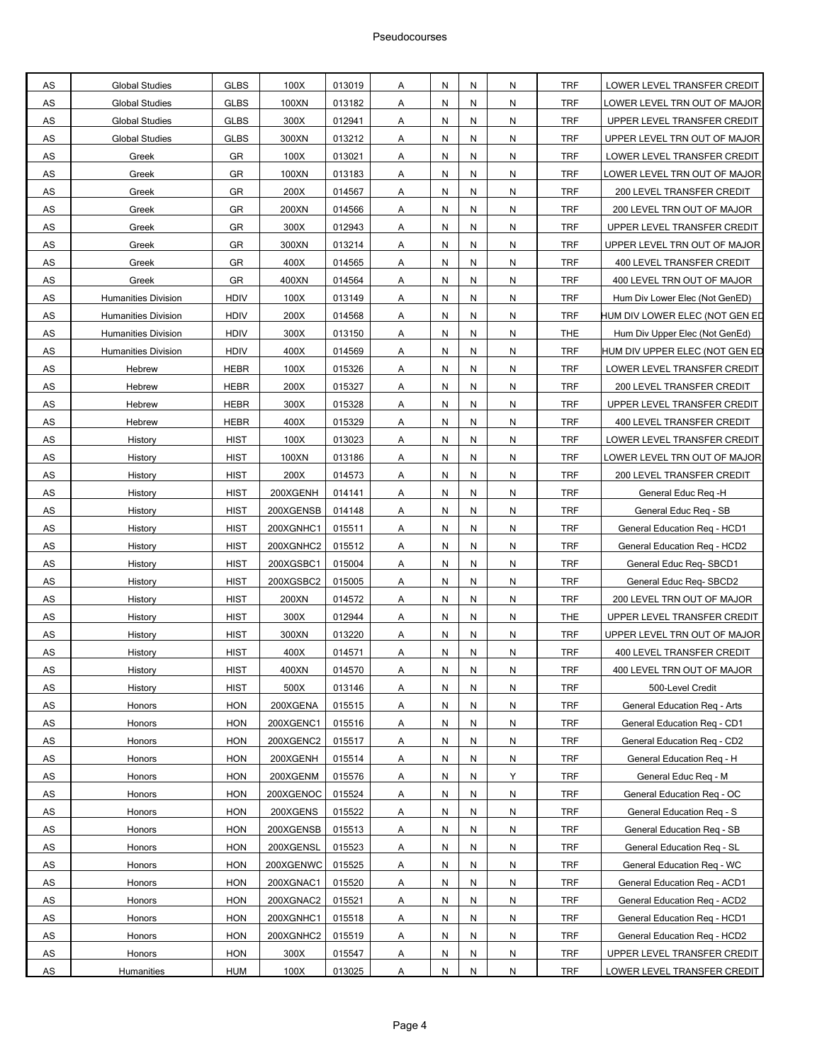| AS            | <b>Global Studies</b>      | <b>GLBS</b> | 100X      | 013019 | Α                       | N | Ν | N         | <b>TRF</b> | LOWER LEVEL TRANSFER CREDIT    |
|---------------|----------------------------|-------------|-----------|--------|-------------------------|---|---|-----------|------------|--------------------------------|
| AS            | <b>Global Studies</b>      | <b>GLBS</b> | 100XN     | 013182 | Α                       | N | N | N         | <b>TRF</b> | LOWER LEVEL TRN OUT OF MAJOR   |
| AS            | <b>Global Studies</b>      | <b>GLBS</b> | 300X      | 012941 | Α                       | N | N | N         | <b>TRF</b> | UPPER LEVEL TRANSFER CREDIT    |
| AS            | <b>Global Studies</b>      | <b>GLBS</b> | 300XN     | 013212 | Α                       | N | N | N         | <b>TRF</b> | UPPER LEVEL TRN OUT OF MAJOR   |
| AS            | Greek                      | GR          | 100X      | 013021 | Α                       | N | N | N         | <b>TRF</b> | LOWER LEVEL TRANSFER CREDIT    |
| AS            | Greek                      | GR          | 100XN     | 013183 | Α                       | N | N | N         | <b>TRF</b> | LOWER LEVEL TRN OUT OF MAJOR   |
| AS            | Greek                      | GR          | 200X      | 014567 | Α                       | N | N | N         | <b>TRF</b> | 200 LEVEL TRANSFER CREDIT      |
| AS            | Greek                      | GR          | 200XN     | 014566 | Α                       | N | N | N         | <b>TRF</b> | 200 LEVEL TRN OUT OF MAJOR     |
| AS            | Greek                      | GR          | 300X      | 012943 | Α                       | N | N | N         | <b>TRF</b> | UPPER LEVEL TRANSFER CREDIT    |
| AS            | Greek                      | GR          | 300XN     | 013214 | Α                       | N | N | N         | <b>TRF</b> | UPPER LEVEL TRN OUT OF MAJOR   |
| AS            | Greek                      | GR          | 400X      | 014565 | Α                       | N | N | N         | <b>TRF</b> | 400 LEVEL TRANSFER CREDIT      |
| AS            | Greek                      | GR          | 400XN     | 014564 | Α                       | N | N | N         | <b>TRF</b> | 400 LEVEL TRN OUT OF MAJOR     |
| AS            | <b>Humanities Division</b> | <b>HDIV</b> | 100X      | 013149 | Α                       | N | N | N         | <b>TRF</b> | Hum Div Lower Elec (Not GenED) |
| AS            | <b>Humanities Division</b> | <b>HDIV</b> | 200X      | 014568 | Α                       | N | N | N         | <b>TRF</b> | HUM DIV LOWER ELEC (NOT GEN ED |
| AS            | <b>Humanities Division</b> | <b>HDIV</b> | 300X      | 013150 | Α                       | N | N | N         | <b>THE</b> | Hum Div Upper Elec (Not GenEd) |
| AS            | <b>Humanities Division</b> | <b>HDIV</b> | 400X      | 014569 | Α                       | N | N | N         | <b>TRF</b> | HUM DIV UPPER ELEC (NOT GEN ED |
| AS            | Hebrew                     | <b>HEBR</b> | 100X      | 015326 | Α                       | N | N | N         | <b>TRF</b> | LOWER LEVEL TRANSFER CREDIT    |
| AS            | Hebrew                     | <b>HEBR</b> | 200X      | 015327 | Α                       | N | N | N         | <b>TRF</b> | 200 LEVEL TRANSFER CREDIT      |
| AS            | Hebrew                     | <b>HEBR</b> | 300X      | 015328 | Α                       | N | N | N         | <b>TRF</b> | UPPER LEVEL TRANSFER CREDIT    |
| AS            | Hebrew                     | <b>HEBR</b> | 400X      | 015329 | Α                       | N | N | N         | <b>TRF</b> | 400 LEVEL TRANSFER CREDIT      |
| AS            | History                    | <b>HIST</b> | 100X      | 013023 | Α                       | N | N | N         | <b>TRF</b> | LOWER LEVEL TRANSFER CREDIT    |
| AS            | History                    | <b>HIST</b> | 100XN     | 013186 | Α                       | N | N | N         | <b>TRF</b> | LOWER LEVEL TRN OUT OF MAJOR   |
| AS            | History                    | <b>HIST</b> | 200X      | 014573 | Α                       | N | N | N         | <b>TRF</b> | 200 LEVEL TRANSFER CREDIT      |
| AS            | History                    | <b>HIST</b> | 200XGENH  | 014141 | Α                       | N | N | N         | <b>TRF</b> | General Educ Req -H            |
| AS            | History                    | <b>HIST</b> | 200XGENSB | 014148 | $\overline{\mathsf{A}}$ | N | N | N         | <b>TRF</b> | General Educ Req - SB          |
| AS            | History                    | <b>HIST</b> | 200XGNHC1 | 015511 | Α                       | N | N | N         | <b>TRF</b> | General Education Req - HCD1   |
| AS            | History                    | <b>HIST</b> | 200XGNHC2 | 015512 | Α                       | N | N | N         | <b>TRF</b> | General Education Req - HCD2   |
| AS            | History                    | <b>HIST</b> | 200XGSBC1 | 015004 | Α                       | N | N | Ν         | <b>TRF</b> | General Educ Req-SBCD1         |
| AS            | History                    | <b>HIST</b> | 200XGSBC2 | 015005 | Α                       | N | N | N         | <b>TRF</b> | General Educ Req-SBCD2         |
| AS            | History                    | <b>HIST</b> | 200XN     | 014572 | Α                       | N | N | N         | <b>TRF</b> | 200 LEVEL TRN OUT OF MAJOR     |
| AS            | History                    | <b>HIST</b> | 300X      | 012944 | Α                       | N | N | N         | <b>THE</b> | UPPER LEVEL TRANSFER CREDIT    |
| AS            | History                    | <b>HIST</b> | 300XN     | 013220 | Α                       | N | N | N         | <b>TRF</b> | UPPER LEVEL TRN OUT OF MAJOR   |
| AS            | History                    | <b>HIST</b> | 400X      | 014571 | Α                       | N | Ν | N         | <b>TRF</b> | 400 LEVEL TRANSFER CREDIT      |
| AS            | History                    | <b>HIST</b> | 400XN     | 014570 | A                       | N | N | N         | <b>TRF</b> | 400 LEVEL TRN OUT OF MAJOR     |
| <b>AS</b>     | History                    | <b>HIST</b> | 500X      | 013146 | A                       | N | N | N         | <b>TRF</b> | 500-Level Credit               |
| ${\sf AS}$    | Honors                     | <b>HON</b>  | 200XGENA  | 015515 | $\mathsf{A}$            | N | N | N         | <b>TRF</b> | General Education Reg - Arts   |
| AS            | Honors                     | <b>HON</b>  | 200XGENC1 | 015516 | Α                       | N | N | N         | <b>TRF</b> | General Education Reg - CD1    |
| AS            | Honors                     | <b>HON</b>  | 200XGENC2 | 015517 | Α                       | N | N | N         | <b>TRF</b> | General Education Req - CD2    |
| $\mathsf{AS}$ | Honors                     | <b>HON</b>  | 200XGENH  | 015514 | Α                       | N | N | ${\sf N}$ | <b>TRF</b> | General Education Req - H      |
| <b>AS</b>     | Honors                     | <b>HON</b>  | 200XGENM  | 015576 | $\overline{A}$          | N | N | Υ         | <b>TRF</b> | General Educ Reg - M           |
| AS            | Honors                     | <b>HON</b>  | 200XGENOC | 015524 | $\overline{A}$          | N | N | N         | <b>TRF</b> | General Education Reg - OC     |
| ${\sf AS}$    | Honors                     | <b>HON</b>  | 200XGENS  | 015522 | Α                       | N | Ν | N         | <b>TRF</b> | General Education Req - S      |
| AS            | Honors                     | <b>HON</b>  | 200XGENSB | 015513 | Α                       | N | N | N         | <b>TRF</b> | General Education Req - SB     |
| $\mathsf{AS}$ | Honors                     | <b>HON</b>  | 200XGENSL | 015523 | Α                       | N | N | N         | <b>TRF</b> | General Education Reg - SL     |
| <b>AS</b>     | Honors                     | <b>HON</b>  | 200XGENWC | 015525 | $\overline{A}$          | N | N | N         | <b>TRF</b> | General Education Reg - WC     |
| ${\sf AS}$    | Honors                     | <b>HON</b>  | 200XGNAC1 | 015520 | $\overline{A}$          | N | N | N         | TRF        | General Education Reg - ACD1   |
| AS            | Honors                     | <b>HON</b>  | 200XGNAC2 | 015521 | Α                       | N | Ν | N         | <b>TRF</b> | General Education Req - ACD2   |
| AS            | Honors                     | <b>HON</b>  | 200XGNHC1 | 015518 | Α                       | N | Ν | N         | <b>TRF</b> | General Education Req - HCD1   |
| $\mathsf{AS}$ | Honors                     | <b>HON</b>  | 200XGNHC2 | 015519 | Α                       | N | N | ${\sf N}$ | <b>TRF</b> | General Education Req - HCD2   |
| <b>AS</b>     | Honors                     | <b>HON</b>  | 300X      | 015547 | $\overline{A}$          | N | N | N         | <b>TRF</b> | UPPER LEVEL TRANSFER CREDIT    |
|               |                            |             |           |        |                         |   |   |           |            |                                |
| AS            | <b>Humanities</b>          | <b>HUM</b>  | 100X      | 013025 | A                       | N | N | N         | <b>TRF</b> | LOWER LEVEL TRANSFER CREDIT    |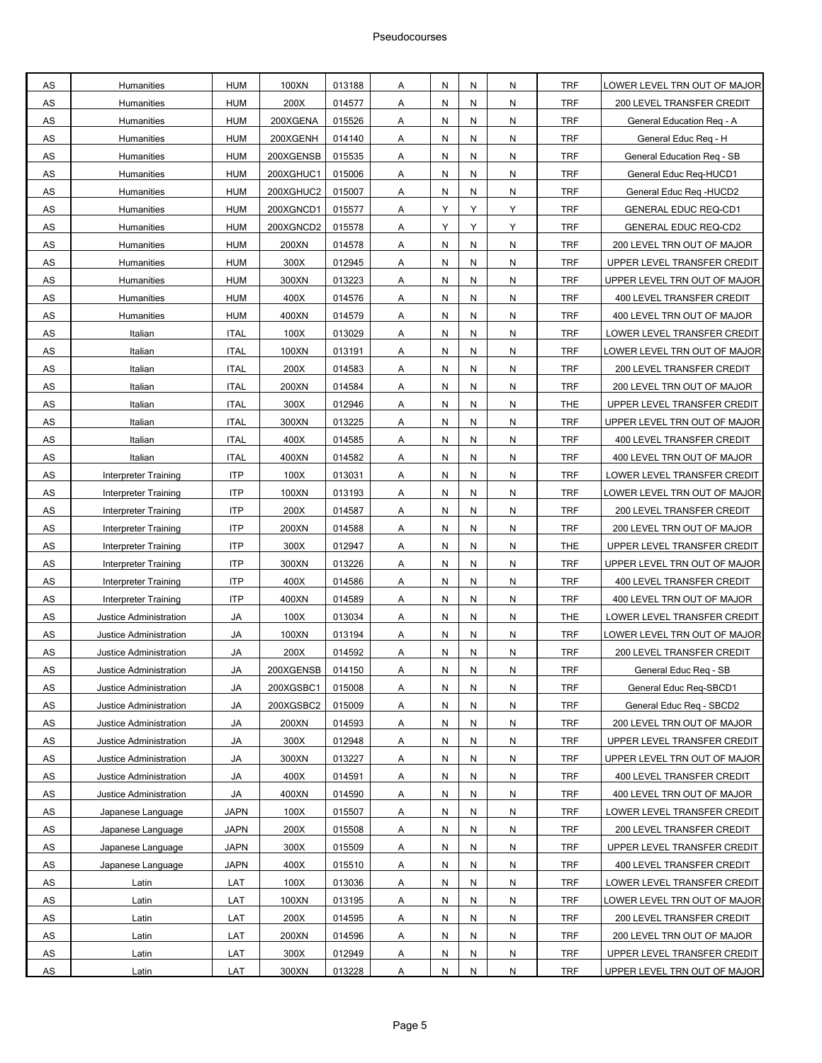| AS            | Humanities                  | <b>HUM</b>  | 100XN     | 013188           | Α | N      | N | N         | <b>TRF</b> | LOWER LEVEL TRN OUT OF MAJOR |
|---------------|-----------------------------|-------------|-----------|------------------|---|--------|---|-----------|------------|------------------------------|
| AS            | Humanities                  | <b>HUM</b>  | 200X      | 014577           | Α | N      | N | N         | <b>TRF</b> | 200 LEVEL TRANSFER CREDIT    |
| AS            | Humanities                  | <b>HUM</b>  | 200XGENA  | 015526           | Α | Ν      | N | N         | <b>TRF</b> | General Education Reg - A    |
| AS            | Humanities                  | <b>HUM</b>  | 200XGENH  | 014140           | Α | N      | N | N         | <b>TRF</b> | General Educ Req - H         |
| AS            | Humanities                  | <b>HUM</b>  | 200XGENSB | 015535           | Α | N      | N | N         | <b>TRF</b> | General Education Req - SB   |
| AS            | Humanities                  | <b>HUM</b>  | 200XGHUC1 | 015006           | Α | Ν      | N | N         | <b>TRF</b> | General Educ Req-HUCD1       |
| AS            | Humanities                  | <b>HUM</b>  | 200XGHUC2 | 015007           | Α | N      | N | N         | <b>TRF</b> | General Educ Req -HUCD2      |
| AS            | Humanities                  | <b>HUM</b>  | 200XGNCD1 | 015577           | Α | Υ      | Y | Y         | <b>TRF</b> | <b>GENERAL EDUC REQ-CD1</b>  |
| AS            | Humanities                  | <b>HUM</b>  | 200XGNCD2 | 015578           | Α | Υ      | Y | Υ         | <b>TRF</b> | <b>GENERAL EDUC REQ-CD2</b>  |
| AS            |                             | <b>HUM</b>  | 200XN     |                  |   |        | N | N         | <b>TRF</b> |                              |
| AS            | Humanities                  | <b>HUM</b>  | 300X      | 014578<br>012945 | Α | N<br>N | N | N         | <b>TRF</b> | 200 LEVEL TRN OUT OF MAJOR   |
|               | Humanities                  |             |           |                  | Α |        |   |           |            | UPPER LEVEL TRANSFER CREDIT  |
| AS            | Humanities                  | <b>HUM</b>  | 300XN     | 013223           | Α | N      | N | N         | <b>TRF</b> | UPPER LEVEL TRN OUT OF MAJOR |
| AS            | Humanities                  | <b>HUM</b>  | 400X      | 014576           | Α | N      | N | N         | <b>TRF</b> | 400 LEVEL TRANSFER CREDIT    |
| AS            | Humanities                  | <b>HUM</b>  | 400XN     | 014579           | Α | N      | N | N         | <b>TRF</b> | 400 LEVEL TRN OUT OF MAJOR   |
| AS            | Italian                     | <b>ITAL</b> | 100X      | 013029           | Α | N      | N | N         | <b>TRF</b> | LOWER LEVEL TRANSFER CREDIT  |
| AS            | Italian                     | <b>ITAL</b> | 100XN     | 013191           | Α | N      | N | N         | <b>TRF</b> | LOWER LEVEL TRN OUT OF MAJOR |
| AS            | Italian                     | <b>ITAL</b> | 200X      | 014583           | A | N      | N | N         | <b>TRF</b> | 200 LEVEL TRANSFER CREDIT    |
| AS            | Italian                     | <b>ITAL</b> | 200XN     | 014584           | Α | N      | N | N         | <b>TRF</b> | 200 LEVEL TRN OUT OF MAJOR   |
| AS            | Italian                     | <b>ITAL</b> | 300X      | 012946           | Α | N      | N | N         | <b>THE</b> | UPPER LEVEL TRANSFER CREDIT  |
| AS            | Italian                     | <b>ITAL</b> | 300XN     | 013225           | A | N      | N | N         | <b>TRF</b> | UPPER LEVEL TRN OUT OF MAJOR |
| AS            | Italian                     | <b>ITAL</b> | 400X      | 014585           | Α | N      | N | N         | <b>TRF</b> | 400 LEVEL TRANSFER CREDIT    |
| AS            | Italian                     | <b>ITAL</b> | 400XN     | 014582           | Α | N      | N | N         | <b>TRF</b> | 400 LEVEL TRN OUT OF MAJOR   |
| AS            | Interpreter Training        | <b>ITP</b>  | 100X      | 013031           | Α | N      | N | N         | <b>TRF</b> | LOWER LEVEL TRANSFER CREDIT  |
| AS            | Interpreter Training        | <b>ITP</b>  | 100XN     | 013193           | Α | N      | N | N         | <b>TRF</b> | LOWER LEVEL TRN OUT OF MAJOR |
| AS            | Interpreter Training        | <b>ITP</b>  | 200X      | 014587           | Α | N      | N | N         | <b>TRF</b> | 200 LEVEL TRANSFER CREDIT    |
| AS            | Interpreter Training        | <b>ITP</b>  | 200XN     | 014588           | Α | N      | N | N         | <b>TRF</b> | 200 LEVEL TRN OUT OF MAJOR   |
| AS            | Interpreter Training        | <b>ITP</b>  | 300X      | 012947           | A | N      | N | N         | <b>THE</b> | UPPER LEVEL TRANSFER CREDIT  |
| AS            | <b>Interpreter Training</b> | <b>ITP</b>  | 300XN     | 013226           | Α | N      | N | N         | <b>TRF</b> | UPPER LEVEL TRN OUT OF MAJOR |
| AS            | Interpreter Training        | <b>ITP</b>  | 400X      | 014586           | Α | N      | N | N         | <b>TRF</b> | 400 LEVEL TRANSFER CREDIT    |
| AS            | Interpreter Training        | <b>ITP</b>  | 400XN     | 014589           | A | N      | N | N         | <b>TRF</b> | 400 LEVEL TRN OUT OF MAJOR   |
| AS            | Justice Administration      | <b>JA</b>   | 100X      | 013034           | Α | N      | N | N         | <b>THE</b> | LOWER LEVEL TRANSFER CREDIT  |
| AS            | Justice Administration      | JA          | 100XN     | 013194           | Α | N      | N | N         | <b>TRF</b> | OWER LEVEL TRN OUT OF MAJOR  |
| AS            | Justice Administration      | JA          | 200X      | 014592           | Α | Ν      | N | N         | <b>TRF</b> | 200 LEVEL TRANSFER CREDIT    |
| <b>AS</b>     | Justice Administration      | JA          | 200XGENSB | 014150           | Α | N      | N | N         | <b>TRF</b> | General Educ Req - SB        |
| AS            | Justice Administration      | JA          | 200XGSBC1 | 015008           | A | N      | N | N         | <b>TRF</b> | General Educ Req-SBCD1       |
| ${\sf AS}$    | Justice Administration      | JA          | 200XGSBC2 | 015009           | Α | N      | N | N         | <b>TRF</b> | General Educ Req - SBCD2     |
| AS            | Justice Administration      | JA          | 200XN     | 014593           | A | N      | N | N         | TRF        | 200 LEVEL TRN OUT OF MAJOR   |
| AS            | Justice Administration      | JA          | 300X      | 012948           | Α | N      | N | N         | <b>TRF</b> | UPPER LEVEL TRANSFER CREDIT  |
| $\mathsf{AS}$ | Justice Administration      | JA          | 300XN     | 013227           | Α | N      | N | N         | <b>TRF</b> | UPPER LEVEL TRN OUT OF MAJOR |
| AS            | Justice Administration      | JA          | 400X      | 014591           | A | N      | N | N         | <b>TRF</b> | 400 LEVEL TRANSFER CREDIT    |
| ${\sf AS}$    | Justice Administration      | JA          | 400XN     | 014590           | Α | N      | N | N         | <b>TRF</b> | 400 LEVEL TRN OUT OF MAJOR   |
| AS            | Japanese Language           | <b>JAPN</b> | 100X      | 015507           | A | N      | N | N         | TRF        | LOWER LEVEL TRANSFER CREDIT  |
| AS            | Japanese Language           | <b>JAPN</b> | 200X      | 015508           | Α | N      | N | N         | <b>TRF</b> | 200 LEVEL TRANSFER CREDIT    |
| ${\sf AS}$    | Japanese Language           | <b>JAPN</b> | 300X      | 015509           | A | N      | N | N         | <b>TRF</b> | UPPER LEVEL TRANSFER CREDIT  |
| AS            | Japanese Language           | JAPN        | 400X      | 015510           | A | N      | N | N         | TRF        | 400 LEVEL TRANSFER CREDIT    |
| ${\sf AS}$    | Latin                       | LAT         | 100X      | 013036           | Α | N      | N | ${\sf N}$ | <b>TRF</b> | LOWER LEVEL TRANSFER CREDIT  |
| AS            | Latin                       | LAT         | 100XN     | 013195           | Α | N      | N | N         | TRF        | OWER LEVEL TRN OUT OF MAJOR  |
| AS            | Latin                       | LAT         | 200X      | 014595           | Α | N      | N | N         | <b>TRF</b> | 200 LEVEL TRANSFER CREDIT    |
| $\mathsf{AS}$ | Latin                       | LAT         | 200XN     | 014596           | Α | N      | N | N         | <b>TRF</b> | 200 LEVEL TRN OUT OF MAJOR   |
| AS            | Latin                       | LAT         | 300X      | 012949           | Α | N      | N | N         | <b>TRF</b> | UPPER LEVEL TRANSFER CREDIT  |
| AS            | Latin                       | LAT         | 300XN     | 013228           | Α | N      | N | ${\sf N}$ | <b>TRF</b> | UPPER LEVEL TRN OUT OF MAJOR |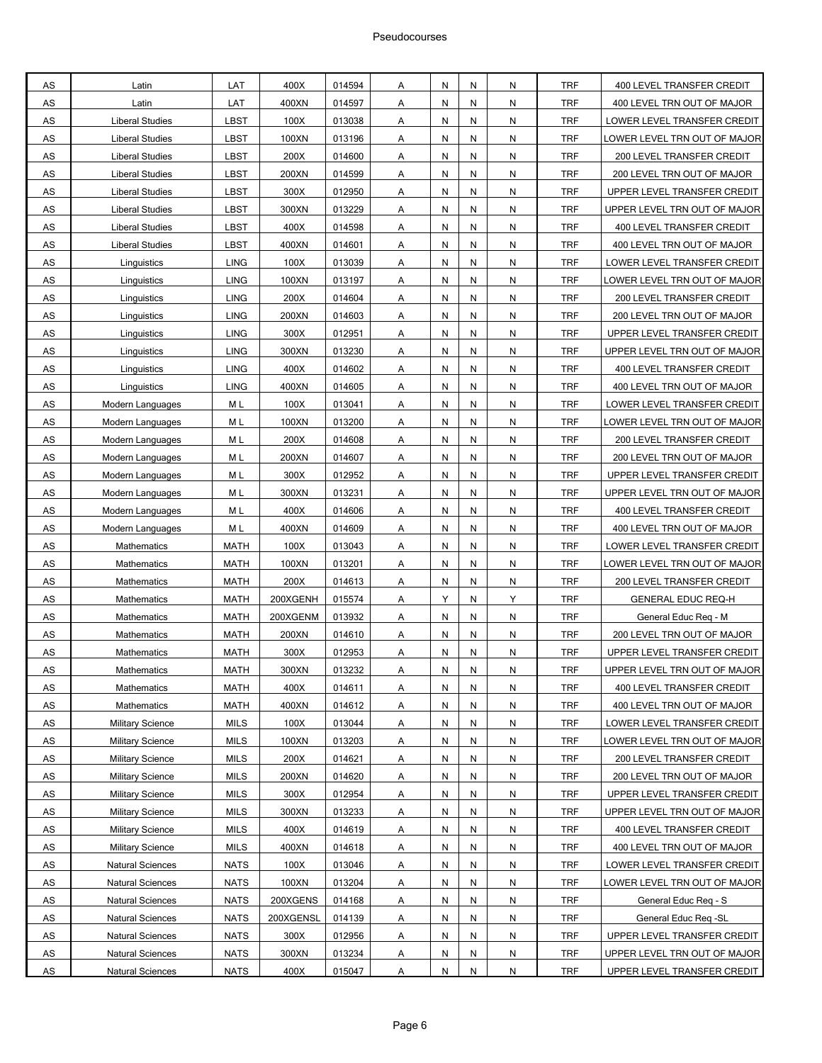| AS            | Latin                   | LAT         | 400X      | 014594 | A | Ν | N | N         | <b>TRF</b> | 400 LEVEL TRANSFER CREDIT    |
|---------------|-------------------------|-------------|-----------|--------|---|---|---|-----------|------------|------------------------------|
| AS            | Latin                   | LAT         | 400XN     | 014597 | Α | N | N | N         | <b>TRF</b> | 400 LEVEL TRN OUT OF MAJOR   |
| AS            | <b>Liberal Studies</b>  | LBST        | 100X      | 013038 | Α | N | N | N         | <b>TRF</b> | LOWER LEVEL TRANSFER CREDIT  |
| AS            | <b>Liberal Studies</b>  | LBST        | 100XN     | 013196 | Α | Ν | N | N         | <b>TRF</b> | OWER LEVEL TRN OUT OF MAJOR  |
| AS            | <b>Liberal Studies</b>  | LBST        | 200X      | 014600 | Α | Ν | N | N         | <b>TRF</b> | 200 LEVEL TRANSFER CREDIT    |
| AS            | <b>Liberal Studies</b>  | LBST        | 200XN     | 014599 | A | Ν | N | N         | <b>TRF</b> | 200 LEVEL TRN OUT OF MAJOR   |
| AS            | <b>Liberal Studies</b>  | LBST        | 300X      | 012950 | Α | N | N | ${\sf N}$ | <b>TRF</b> | UPPER LEVEL TRANSFER CREDIT  |
| AS            | <b>Liberal Studies</b>  | LBST        | 300XN     | 013229 | А | N | N | N         | <b>TRF</b> | UPPER LEVEL TRN OUT OF MAJOR |
| $\mathsf{AS}$ | <b>Liberal Studies</b>  | LBST        | 400X      | 014598 | Α | Ν | N | N         | <b>TRF</b> | 400 LEVEL TRANSFER CREDIT    |
| AS            | <b>Liberal Studies</b>  | LBST        | 400XN     | 014601 | Α | Ν | N | N         | <b>TRF</b> | 400 LEVEL TRN OUT OF MAJOR   |
| AS            | Linguistics             | <b>LING</b> | 100X      | 013039 | A | Ν | N | N         | <b>TRF</b> | LOWER LEVEL TRANSFER CREDIT  |
| AS            | Linguistics             | <b>LING</b> | 100XN     | 013197 | Α | N | N | N         | <b>TRF</b> | LOWER LEVEL TRN OUT OF MAJOR |
| AS            | Linguistics             | <b>LING</b> | 200X      | 014604 | Α | Ν | N | N         | <b>TRF</b> | 200 LEVEL TRANSFER CREDIT    |
| AS            | Linguistics             | <b>LING</b> | 200XN     | 014603 | Α | Ν | N | N         | <b>TRF</b> | 200 LEVEL TRN OUT OF MAJOR   |
| AS            | Linguistics             | <b>LING</b> | 300X      | 012951 | Α | Ν | N | ${\sf N}$ | <b>TRF</b> | UPPER LEVEL TRANSFER CREDIT  |
| AS            | Linguistics             | <b>LING</b> | 300XN     | 013230 | Α | Ν | N | ${\sf N}$ | <b>TRF</b> | UPPER LEVEL TRN OUT OF MAJOR |
| AS            | Linguistics             | <b>LING</b> | 400X      | 014602 | Α | N | N | N         | <b>TRF</b> | 400 LEVEL TRANSFER CREDIT    |
| AS            | Linguistics             | <b>LING</b> | 400XN     | 014605 | Α | N | N | N         | <b>TRF</b> | 400 LEVEL TRN OUT OF MAJOR   |
| AS            | Modern Languages        | M L         | 100X      | 013041 | Α | Ν | N | N         | <b>TRF</b> | LOWER LEVEL TRANSFER CREDIT  |
| AS            | Modern Languages        | M L         | 100XN     | 013200 | Α | Ν | N | ${\sf N}$ | <b>TRF</b> | LOWER LEVEL TRN OUT OF MAJOR |
| AS            | Modern Languages        | M L         | 200X      | 014608 | A | Ν | N | N         | <b>TRF</b> | 200 LEVEL TRANSFER CREDIT    |
| AS            | Modern Languages        | M L         | 200XN     | 014607 | Α | N | N | ${\sf N}$ | <b>TRF</b> | 200 LEVEL TRN OUT OF MAJOR   |
| AS            | Modern Languages        | M L         | 300X      | 012952 | Α | N | N | N         | <b>TRF</b> | UPPER LEVEL TRANSFER CREDIT  |
| AS            | Modern Languages        | M L         | 300XN     | 013231 | Α | N | N | N         | <b>TRF</b> | UPPER LEVEL TRN OUT OF MAJOR |
| AS            | Modern Languages        | M L         | 400X      | 014606 | Α | N | N | N         | <b>TRF</b> | 400 LEVEL TRANSFER CREDIT    |
| AS            | Modern Languages        | M L         | 400XN     | 014609 | A | Ν | N | N         | <b>TRF</b> | 400 LEVEL TRN OUT OF MAJOR   |
| AS            | Mathematics             | <b>MATH</b> | 100X      | 013043 | Α | N | N | ${\sf N}$ | <b>TRF</b> | LOWER LEVEL TRANSFER CREDIT  |
| AS            | Mathematics             | MATH        | 100XN     | 013201 | Α | Ν | N | N         | <b>TRF</b> | LOWER LEVEL TRN OUT OF MAJOR |
| AS            | Mathematics             | MATH        | 200X      | 014613 | Α | N | N | N         | <b>TRF</b> | 200 LEVEL TRANSFER CREDIT    |
| AS            | <b>Mathematics</b>      | MATH        | 200XGENH  | 015574 | Α | Υ | N | Υ         | <b>TRF</b> | <b>GENERAL EDUC REQ-H</b>    |
| AS            | Mathematics             | <b>MATH</b> | 200XGENM  | 013932 | A | Ν | N | ${\sf N}$ | <b>TRF</b> | General Educ Reg - M         |
| AS            | Mathematics             | <b>MATH</b> | 200XN     | 014610 | Α | N | N | N         | <b>TRF</b> | 200 LEVEL TRN OUT OF MAJOR   |
| AS            | Mathematics             | <b>MATH</b> | 300X      | 012953 | Α | N | N | ${\sf N}$ | <b>TRF</b> | UPPER LEVEL TRANSFER CREDIT  |
| AS            | Mathematics             | MATH        | 300XN     | 013232 | Α | Ν | N | N         | <b>TRF</b> | UPPER LEVEL TRN OUT OF MAJOR |
| AS            | Mathematics             | <b>MATH</b> | 400X      | 014611 | A | N | N | N         | <b>TRF</b> | 400 LEVEL TRANSFER CREDIT    |
| ${\sf AS}$    | Mathematics             | <b>MATH</b> | 400XN     | 014612 | A | Ν | N | N         | <b>TRF</b> | 400 LEVEL TRN OUT OF MAJOR   |
| AS            | <b>Military Science</b> | <b>MILS</b> | 100X      | 013044 | A | N | N | N         | <b>TRF</b> | LOWER LEVEL TRANSFER CREDIT  |
| AS            | <b>Military Science</b> | <b>MILS</b> | 100XN     | 013203 | Α | N | N | ${\sf N}$ | <b>TRF</b> | OWER LEVEL TRN OUT OF MAJOR  |
| ${\sf AS}$    | <b>Military Science</b> | <b>MILS</b> | 200X      | 014621 | A | N | N | N         | <b>TRF</b> | 200 LEVEL TRANSFER CREDIT    |
| <b>AS</b>     | <b>Military Science</b> | <b>MILS</b> | 200XN     | 014620 | Α | N | N | ${\sf N}$ | <b>TRF</b> | 200 LEVEL TRN OUT OF MAJOR   |
| ${\sf AS}$    | <b>Military Science</b> | <b>MILS</b> | 300X      | 012954 | A | N | N | N         | <b>TRF</b> | UPPER LEVEL TRANSFER CREDIT  |
| ${\sf AS}$    | <b>Military Science</b> | <b>MILS</b> | 300XN     | 013233 | A | N | N | N         | <b>TRF</b> | UPPER LEVEL TRN OUT OF MAJOR |
| AS            | <b>Military Science</b> | <b>MILS</b> | 400X      | 014619 | A | N | N | ${\sf N}$ | <b>TRF</b> | 400 LEVEL TRANSFER CREDIT    |
| ${\sf AS}$    | <b>Military Science</b> | <b>MILS</b> | 400XN     | 014618 | A | N | N | N         | <b>TRF</b> | 400 LEVEL TRN OUT OF MAJOR   |
| <b>AS</b>     | <b>Natural Sciences</b> | <b>NATS</b> | 100X      | 013046 | Α | N | N | ${\sf N}$ | <b>TRF</b> | LOWER LEVEL TRANSFER CREDIT  |
| ${\sf AS}$    | <b>Natural Sciences</b> | <b>NATS</b> | 100XN     | 013204 | A | Ν | N | N         | <b>TRF</b> | LOWER LEVEL TRN OUT OF MAJOR |
| AS            | <b>Natural Sciences</b> | <b>NATS</b> | 200XGENS  | 014168 | A | N | N | N         | <b>TRF</b> | General Educ Req - S         |
| AS            | <b>Natural Sciences</b> | <b>NATS</b> | 200XGENSL | 014139 | Α | N | N | ${\sf N}$ | <b>TRF</b> | General Educ Req -SL         |
| AS            | <b>Natural Sciences</b> | <b>NATS</b> | 300X      | 012956 | A | N | N | N         | <b>TRF</b> | UPPER LEVEL TRANSFER CREDIT  |
| <b>AS</b>     | Natural Sciences        | <b>NATS</b> | 300XN     | 013234 | A | N | N | ${\sf N}$ | <b>TRF</b> | UPPER LEVEL TRN OUT OF MAJOR |
| <b>AS</b>     | <b>Natural Sciences</b> | <b>NATS</b> | 400X      | 015047 | A | Ν | N | N         | TRF        | UPPER LEVEL TRANSFER CREDIT  |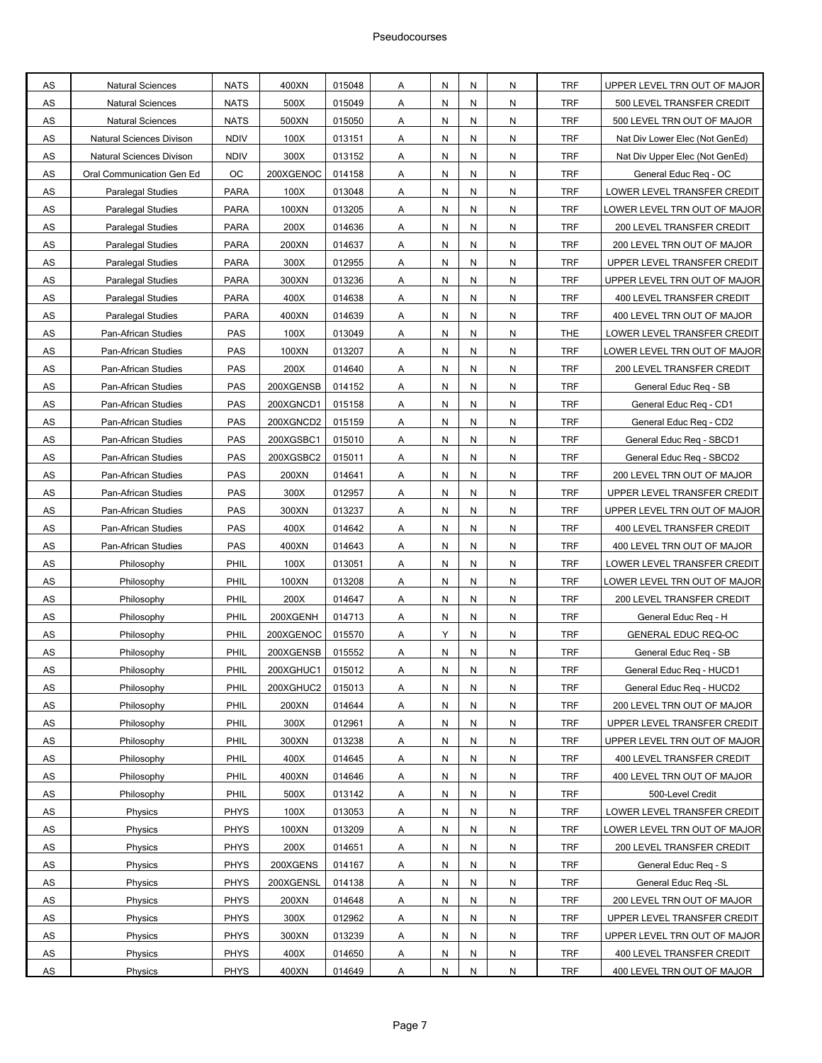| AS         | <b>Natural Sciences</b>         | <b>NATS</b> | 400XN     | 015048 | Α | N | N | N | TRF        | UPPER LEVEL TRN OUT OF MAJOR   |
|------------|---------------------------------|-------------|-----------|--------|---|---|---|---|------------|--------------------------------|
| AS         | <b>Natural Sciences</b>         | <b>NATS</b> | 500X      | 015049 | Α | N | N | N | <b>TRF</b> | 500 LEVEL TRANSFER CREDIT      |
| AS         | <b>Natural Sciences</b>         | <b>NATS</b> | 500XN     | 015050 | Α | N | N | N | <b>TRF</b> | 500 LEVEL TRN OUT OF MAJOR     |
| AS         | Natural Sciences Divison        | <b>NDIV</b> | 100X      | 013151 | Α | N | N | N | <b>TRF</b> | Nat Div Lower Elec (Not GenEd) |
| <b>AS</b>  | <b>Natural Sciences Divison</b> | <b>NDIV</b> | 300X      | 013152 | Α | N | N | N | <b>TRF</b> | Nat Div Upper Elec (Not GenEd) |
| AS         | Oral Communication Gen Ed       | ОC          | 200XGENOC | 014158 | Α | N | N | N | TRF        | General Educ Req - OC          |
| AS         | Paralegal Studies               | <b>PARA</b> | 100X      | 013048 | Α | N | N | N | <b>TRF</b> | LOWER LEVEL TRANSFER CREDIT    |
| AS         | <b>Paralegal Studies</b>        | <b>PARA</b> | 100XN     | 013205 | Α | N | N | N | <b>TRF</b> | LOWER LEVEL TRN OUT OF MAJOR   |
| AS         | Paralegal Studies               | PARA        | 200X      | 014636 | Α | N | N | N | <b>TRF</b> | 200 LEVEL TRANSFER CREDIT      |
| AS         | Paralegal Studies               | <b>PARA</b> | 200XN     | 014637 | A | N | N | N | <b>TRF</b> | 200 LEVEL TRN OUT OF MAJOR     |
| AS         | Paralegal Studies               | <b>PARA</b> | 300X      | 012955 | Α | N | N | N | TRF        | UPPER LEVEL TRANSFER CREDIT    |
| AS         | Paralegal Studies               | <b>PARA</b> | 300XN     | 013236 | Α | N | N | N | <b>TRF</b> | UPPER LEVEL TRN OUT OF MAJOR   |
| AS         | <b>Paralegal Studies</b>        | <b>PARA</b> | 400X      | 014638 | Α | N | N | N | <b>TRF</b> | 400 LEVEL TRANSFER CREDIT      |
| AS         | <b>Paralegal Studies</b>        | <b>PARA</b> | 400XN     | 014639 | Α | N | N | N | <b>TRF</b> | 400 LEVEL TRN OUT OF MAJOR     |
| <b>AS</b>  | Pan-African Studies             | PAS         | 100X      | 013049 | Α | N | N | N | <b>THE</b> | LOWER LEVEL TRANSFER CREDIT    |
| AS         | Pan-African Studies             | PAS         | 100XN     | 013207 | Α | N | N | N | <b>TRF</b> | LOWER LEVEL TRN OUT OF MAJOR   |
| AS         | Pan-African Studies             | PAS         | 200X      | 014640 | Α | N | N | N | <b>TRF</b> | 200 LEVEL TRANSFER CREDIT      |
| AS         | Pan-African Studies             | PAS         | 200XGENSB | 014152 | Α | N | N | N | <b>TRF</b> | General Educ Reg - SB          |
| AS         | Pan-African Studies             | PAS         | 200XGNCD1 | 015158 | Α | N | N | N | <b>TRF</b> | General Educ Req - CD1         |
| AS         | Pan-African Studies             | PAS         | 200XGNCD2 | 015159 | A | N | N | N | <b>TRF</b> | General Educ Reg - CD2         |
| AS         | Pan-African Studies             | PAS         | 200XGSBC1 | 015010 | Α | N | N | N | TRF        | General Educ Req - SBCD1       |
| AS         | Pan-African Studies             | PAS         | 200XGSBC2 | 015011 | Α | N | N | N | <b>TRF</b> | General Educ Req - SBCD2       |
| AS         | Pan-African Studies             | PAS         | 200XN     | 014641 | Α | N | N | N | <b>TRF</b> | 200 LEVEL TRN OUT OF MAJOR     |
| AS         | Pan-African Studies             | PAS         | 300X      | 012957 | Α | N | N | N | <b>TRF</b> | UPPER LEVEL TRANSFER CREDIT    |
| <b>AS</b>  | Pan-African Studies             | PAS         | 300XN     | 013237 | Α | N | N | N | <b>TRF</b> | UPPER LEVEL TRN OUT OF MAJOR   |
| AS         | Pan-African Studies             | PAS         | 400X      | 014642 | Α | N | N | N | TRF        | 400 LEVEL TRANSFER CREDIT      |
| AS         | Pan-African Studies             | PAS         | 400XN     | 014643 | Α | N | N | N | <b>TRF</b> | 400 LEVEL TRN OUT OF MAJOR     |
| AS         | Philosophy                      | PHIL        | 100X      | 013051 | Α | N | N | N | <b>TRF</b> | LOWER LEVEL TRANSFER CREDIT    |
| AS         | Philosophy                      | PHIL        | 100XN     | 013208 | Α | N | N | N | <b>TRF</b> | LOWER LEVEL TRN OUT OF MAJOR   |
| <b>AS</b>  | Philosophy                      | PHIL        | 200X      | 014647 | A | N | N | N | <b>TRF</b> | 200 LEVEL TRANSFER CREDIT      |
| AS         | Philosophy                      | PHIL        | 200XGENH  | 014713 | Α | N | N | N | TRF        | General Educ Req - H           |
| AS         | Philosophy                      | PHIL        | 200XGENOC | 015570 | Α | Υ | N | N | <b>TRF</b> | GENERAL EDUC REQ-OC            |
| AS         | Philosophy                      | PHIL        | 200XGENSB | 015552 | Α | N | N | N | <b>TRF</b> | General Educ Req - SB          |
| AS         | Philosophy                      | PHIL        | 200XGHUC1 | 015012 | A | N | N | N | <b>TRF</b> | General Educ Reg - HUCD1       |
| <b>AS</b>  | Philosophy                      | PHIL        | 200XGHUC2 | 015013 | A | N | N | N | <b>TRF</b> | General Educ Req - HUCD2       |
| AS         | Philosophy                      | PHIL        | 200XN     | 014644 | A | N | N | N | TRF        | 200 LEVEL TRN OUT OF MAJOR     |
| AS         | Philosophy                      | PHIL        | 300X      | 012961 | Α | N | N | N | <b>TRF</b> | UPPER LEVEL TRANSFER CREDIT    |
| ${\sf AS}$ | Philosophy                      | PHIL        | 300XN     | 013238 | Α | Ν | N | N | <b>TRF</b> | UPPER LEVEL TRN OUT OF MAJOR   |
| AS         | Philosophy                      | PHIL        | 400X      | 014645 | Α | N | N | N | <b>TRF</b> | 400 LEVEL TRANSFER CREDIT      |
| <b>AS</b>  | Philosophy                      | PHIL        | 400XN     | 014646 | A | N | N | N | <b>TRF</b> | 400 LEVEL TRN OUT OF MAJOR     |
| ${\sf AS}$ | Philosophy                      | PHIL        | 500X      | 013142 | A | N | N | N | TRF        | 500-Level Credit               |
| ${\sf AS}$ | Physics                         | PHYS        | 100X      | 013053 | Α | N | N | N | <b>TRF</b> | LOWER LEVEL TRANSFER CREDIT    |
| ${\sf AS}$ | Physics                         | <b>PHYS</b> | 100XN     | 013209 | Α | Ν | N | N | <b>TRF</b> | LOWER LEVEL TRN OUT OF MAJOR   |
| ${\sf AS}$ | Physics                         | PHYS        | 200X      | 014651 | Α | N | N | N | <b>TRF</b> | 200 LEVEL TRANSFER CREDIT      |
| <b>AS</b>  | Physics                         | <b>PHYS</b> | 200XGENS  | 014167 | A | N | N | N | <b>TRF</b> | General Educ Req - S           |
| AS         | Physics                         | <b>PHYS</b> | 200XGENSL | 014138 | A | N | N | N | TRF        | General Educ Req -SL           |
| AS         | Physics                         | PHYS        | 200XN     | 014648 | Α | N | N | N | <b>TRF</b> | 200 LEVEL TRN OUT OF MAJOR     |
| AS         | Physics                         | <b>PHYS</b> | 300X      | 012962 | Α | Ν | N | N | <b>TRF</b> | UPPER LEVEL TRANSFER CREDIT    |
| AS         | Physics                         | PHYS        | 300XN     | 013239 | Α | N | N | N | <b>TRF</b> | UPPER LEVEL TRN OUT OF MAJOR   |
| <b>AS</b>  | Physics                         | <b>PHYS</b> | 400X      | 014650 | Α | N | N | N | <b>TRF</b> | 400 LEVEL TRANSFER CREDIT      |
| AS         | Physics                         | <b>PHYS</b> | 400XN     | 014649 | Α | N | N | N | <b>TRF</b> | 400 LEVEL TRN OUT OF MAJOR     |
|            |                                 |             |           |        |   |   |   |   |            |                                |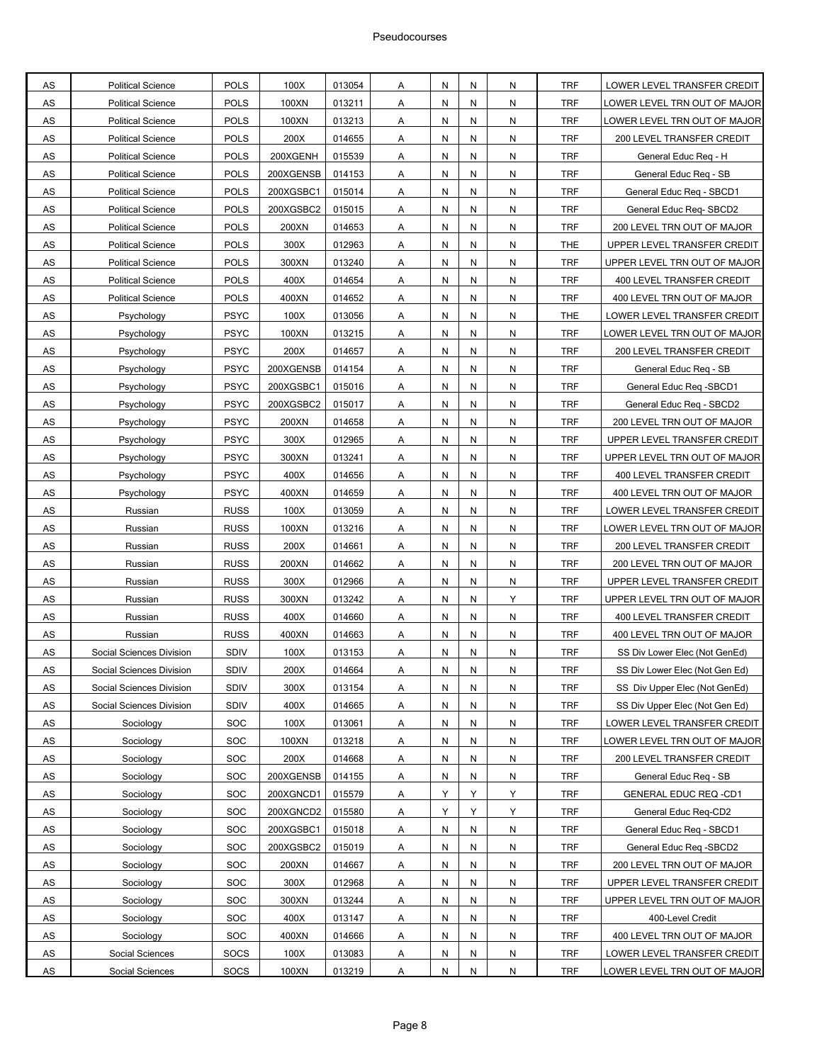| AS         | <b>Political Science</b> | <b>POLS</b> | 100X      | 013054 | Α              | N | N | N | <b>TRF</b> | LOWER LEVEL TRANSFER CREDIT    |
|------------|--------------------------|-------------|-----------|--------|----------------|---|---|---|------------|--------------------------------|
| AS         | <b>Political Science</b> | <b>POLS</b> | 100XN     | 013211 | Α              | Ν | N | N | <b>TRF</b> | LOWER LEVEL TRN OUT OF MAJOR   |
| AS         | <b>Political Science</b> | <b>POLS</b> | 100XN     | 013213 | Α              | N | N | N | <b>TRF</b> | OWER LEVEL TRN OUT OF MAJOR.   |
| AS         | <b>Political Science</b> | <b>POLS</b> | 200X      | 014655 | Α              | N | N | N | <b>TRF</b> | 200 LEVEL TRANSFER CREDIT      |
| AS         | <b>Political Science</b> | <b>POLS</b> | 200XGENH  | 015539 | Α              | Ν | N | N | <b>TRF</b> | General Educ Reg - H           |
| AS         | <b>Political Science</b> | <b>POLS</b> | 200XGENSB | 014153 | Α              | Ν | N | N | TRF        | General Educ Reg - SB          |
| AS         | <b>Political Science</b> | <b>POLS</b> | 200XGSBC1 | 015014 | Α              | Ν | N | N | <b>TRF</b> | General Educ Req - SBCD1       |
| AS         | <b>Political Science</b> | <b>POLS</b> | 200XGSBC2 | 015015 | Α              | N | N | N | <b>TRF</b> | General Educ Req-SBCD2         |
| AS         | <b>Political Science</b> | <b>POLS</b> | 200XN     | 014653 | Α              | N | N | N | <b>TRF</b> | 200 LEVEL TRN OUT OF MAJOR     |
| <b>AS</b>  | <b>Political Science</b> | <b>POLS</b> | 300X      | 012963 | Α              | N | N | N | <b>THE</b> | UPPER LEVEL TRANSFER CREDIT    |
| AS         | <b>Political Science</b> | <b>POLS</b> | 300XN     | 013240 | Α              | Ν | N | N | <b>TRF</b> | UPPER LEVEL TRN OUT OF MAJOR   |
| AS         | <b>Political Science</b> | <b>POLS</b> | 400X      | 014654 | Α              | Ν | N | N | <b>TRF</b> | 400 LEVEL TRANSFER CREDIT      |
| AS         | <b>Political Science</b> | <b>POLS</b> | 400XN     | 014652 | Α              | N | N | N | <b>TRF</b> | 400 LEVEL TRN OUT OF MAJOR     |
| AS         | Psychology               | <b>PSYC</b> | 100X      | 013056 | Α              | Ν | N | N | <b>THE</b> | LOWER LEVEL TRANSFER CREDIT    |
| AS         | Psychology               | <b>PSYC</b> | 100XN     | 013215 | Α              | Ν | N | N | <b>TRF</b> | LOWER LEVEL TRN OUT OF MAJOR   |
| AS         | Psychology               | <b>PSYC</b> | 200X      | 014657 | Α              | Ν | N | N | TRF        | 200 LEVEL TRANSFER CREDIT      |
| AS         | Psychology               | <b>PSYC</b> | 200XGENSB | 014154 | Α              | Ν | N | N | <b>TRF</b> | General Educ Req - SB          |
| AS         | Psychology               | <b>PSYC</b> | 200XGSBC1 | 015016 | Α              | N | N | N | <b>TRF</b> | General Educ Reg -SBCD1        |
| AS         | Psychology               | <b>PSYC</b> | 200XGSBC2 | 015017 | Α              | N | N | N | <b>TRF</b> | General Educ Req - SBCD2       |
| <b>AS</b>  | Psychology               | <b>PSYC</b> | 200XN     | 014658 | Α              | N | N | N | <b>TRF</b> | 200 LEVEL TRN OUT OF MAJOR     |
| AS         | Psychology               | <b>PSYC</b> | 300X      | 012965 | Α              | Ν | N | N | TRF        | UPPER LEVEL TRANSFER CREDIT    |
| AS         | Psychology               | <b>PSYC</b> | 300XN     | 013241 | Α              | Ν | N | N | <b>TRF</b> | UPPER LEVEL TRN OUT OF MAJOR   |
| AS         | Psychology               | <b>PSYC</b> | 400X      | 014656 | Α              | N | N | N | <b>TRF</b> | 400 LEVEL TRANSFER CREDIT      |
| AS         | Psychology               | <b>PSYC</b> | 400XN     | 014659 | Α              | N | N | N | <b>TRF</b> | 400 LEVEL TRN OUT OF MAJOR     |
| <b>AS</b>  | Russian                  | <b>RUSS</b> | 100X      | 013059 | Α              | Ν | N | N | <b>TRF</b> | LOWER LEVEL TRANSFER CREDIT    |
| AS         | Russian                  | <b>RUSS</b> | 100XN     | 013216 | Α              | Ν | N | N | <b>TRF</b> | LOWER LEVEL TRN OUT OF MAJOR   |
| AS         | Russian                  | <b>RUSS</b> | 200X      | 014661 | Α              | Ν | N | N | <b>TRF</b> | 200 LEVEL TRANSFER CREDIT      |
| AS         | Russian                  | <b>RUSS</b> | 200XN     | 014662 | Α              | N | N | N | <b>TRF</b> | 200 LEVEL TRN OUT OF MAJOR     |
| AS         | Russian                  | <b>RUSS</b> | 300X      | 012966 | Α              | N | N | N | <b>TRF</b> | UPPER LEVEL TRANSFER CREDIT    |
| AS         | Russian                  | <b>RUSS</b> | 300XN     | 013242 | Α              | N | N | Y | <b>TRF</b> | UPPER LEVEL TRN OUT OF MAJOR   |
| AS         | Russian                  | <b>RUSS</b> | 400X      | 014660 | Α              | Ν | N | N | <b>TRF</b> | 400 LEVEL TRANSFER CREDIT      |
| AS         | Russian                  | <b>RUSS</b> | 400XN     | 014663 | Α              | Ν | N | N | <b>TRF</b> | 400 LEVEL TRN OUT OF MAJOR     |
| AS         | Social Sciences Division | SDIV        | 100X      | 013153 | Α              | Ν | N | N | <b>TRF</b> | SS Div Lower Elec (Not GenEd)  |
| AS         | Social Sciences Division | <b>SDIV</b> | 200X      | 014664 | A              | N | N | N | <b>TRF</b> | SS Div Lower Elec (Not Gen Ed) |
| <b>AS</b>  | Social Sciences Division | SDIV        | 300X      | 013154 | Α              | N | N | N | <b>TRF</b> | SS Div Upper Elec (Not GenEd)  |
| AS         | Social Sciences Division | <b>SDIV</b> | 400X      | 014665 | $\overline{A}$ | Ν | N | N | TRF        | SS Div Upper Elec (Not Gen Ed) |
| AS         | Sociology                | SOC         | 100X      | 013061 | A              | N | N | N | <b>TRF</b> | LOWER LEVEL TRANSFER CREDIT    |
| ${\sf AS}$ | Sociology                | <b>SOC</b>  | 100XN     | 013218 | Α              | N | N | N | <b>TRF</b> | OWER LEVEL TRN OUT OF MAJOR    |
| ${\sf AS}$ | Sociology                | SOC         | 200X      | 014668 | Α              | N | N | N | <b>TRF</b> | 200 LEVEL TRANSFER CREDIT      |
| <b>AS</b>  | Sociology                | <b>SOC</b>  | 200XGENSB | 014155 | A              | N | N | N | <b>TRF</b> | General Educ Reg - SB          |
| ${\sf AS}$ | Sociology                | <b>SOC</b>  | 200XGNCD1 | 015579 | Α              | Υ | Y | Y | TRF        | <b>GENERAL EDUC REQ -CD1</b>   |
| ${\sf AS}$ | Sociology                | <b>SOC</b>  | 200XGNCD2 | 015580 | Α              | Υ | Υ | Y | <b>TRF</b> | General Educ Req-CD2           |
| ${\sf AS}$ | Sociology                | <b>SOC</b>  | 200XGSBC1 | 015018 | Α              | N | N | N | <b>TRF</b> | General Educ Req - SBCD1       |
| ${\sf AS}$ | Sociology                | <b>SOC</b>  | 200XGSBC2 | 015019 | $\overline{A}$ | N | N | N | <b>TRF</b> | General Educ Req -SBCD2        |
| <b>AS</b>  | Sociology                | <b>SOC</b>  | 200XN     | 014667 | $\overline{A}$ | N | N | N | <b>TRF</b> | 200 LEVEL TRN OUT OF MAJOR     |
| ${\sf AS}$ | Sociology                | <b>SOC</b>  | 300X      | 012968 | Α              | Ν | N | N | TRF        | UPPER LEVEL TRANSFER CREDIT    |
| ${\sf AS}$ | Sociology                | <b>SOC</b>  | 300XN     | 013244 | Α              | N | N | N | <b>TRF</b> | UPPER LEVEL TRN OUT OF MAJOR   |
| ${\sf AS}$ | Sociology                | <b>SOC</b>  | 400X      | 013147 | Α              | N | N | N | <b>TRF</b> | 400-Level Credit               |
| ${\sf AS}$ | Sociology                | SOC         | 400XN     | 014666 | A              | N | N | N | <b>TRF</b> | 400 LEVEL TRN OUT OF MAJOR     |
| <b>AS</b>  | Social Sciences          | <b>SOCS</b> | 100X      | 013083 | A              | N | N | N | <b>TRF</b> | LOWER LEVEL TRANSFER CREDIT    |
| <b>AS</b>  | <b>Social Sciences</b>   | <b>SOCS</b> | 100XN     | 013219 | Α              | N | N | N | TRF        | LOWER LEVEL TRN OUT OF MAJOR   |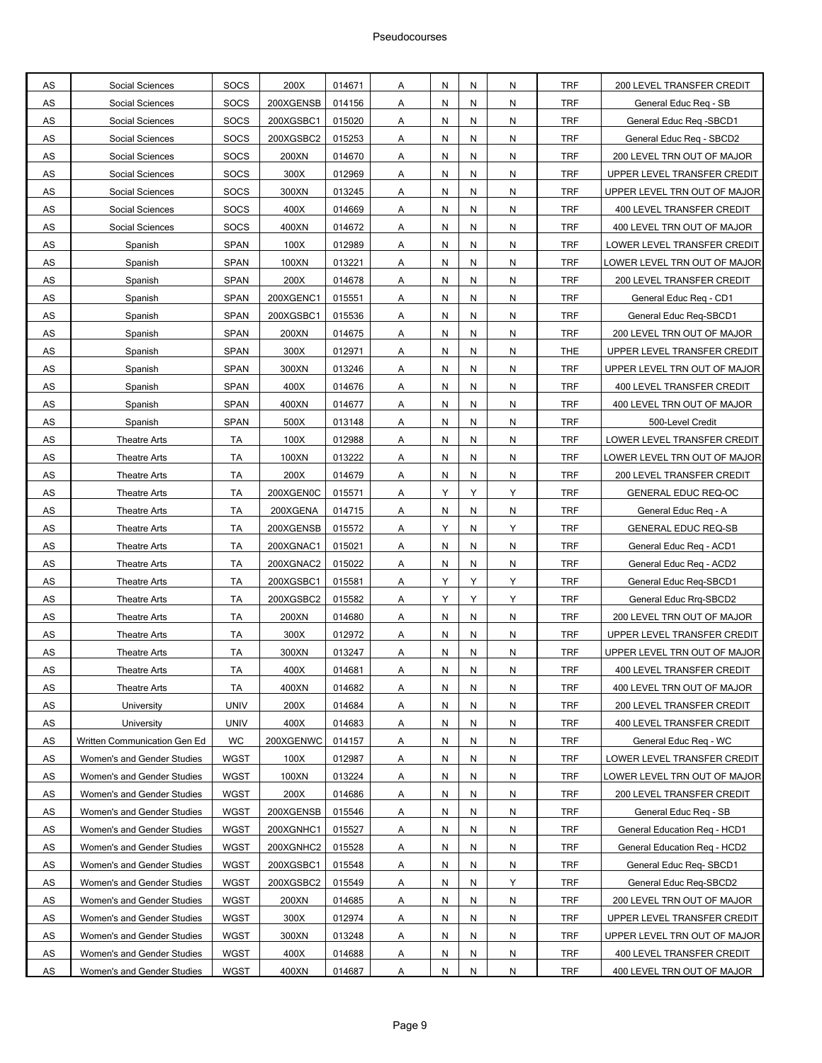| AS            | Social Sciences              | <b>SOCS</b> | 200X      | 014671           | A              | Ν | N         | N         | <b>TRF</b> | 200 LEVEL TRANSFER CREDIT    |
|---------------|------------------------------|-------------|-----------|------------------|----------------|---|-----------|-----------|------------|------------------------------|
| AS            | Social Sciences              | <b>SOCS</b> | 200XGENSB | 014156           | Α              | Ν | N         | N         | <b>TRF</b> | General Educ Req - SB        |
| AS            | Social Sciences              | SOCS        | 200XGSBC1 | 015020           | Α              | N | N         | N         | <b>TRF</b> | General Educ Reg -SBCD1      |
| AS            | Social Sciences              | SOCS        | 200XGSBC2 | 015253           | Α              | N | N         | N         | <b>TRF</b> | General Educ Req - SBCD2     |
| AS            | Social Sciences              | <b>SOCS</b> | 200XN     | 014670           | Α              | Ν | N         | N         | <b>TRF</b> | 200 LEVEL TRN OUT OF MAJOR   |
| AS            | Social Sciences              | <b>SOCS</b> | 300X      | 012969           | Α              | Ν | N         | N         | <b>TRF</b> | UPPER LEVEL TRANSFER CREDIT  |
| AS            | Social Sciences              | <b>SOCS</b> | 300XN     | 013245           | Α              | Ν | N         | N         | <b>TRF</b> | UPPER LEVEL TRN OUT OF MAJOR |
| AS            | Social Sciences              | <b>SOCS</b> | 400X      | 014669           | Α              | N | N         | N         | <b>TRF</b> | 400 LEVEL TRANSFER CREDIT    |
| AS            | Social Sciences              | <b>SOCS</b> | 400XN     | 014672           | Α              | N | N         | N         | <b>TRF</b> | 400 LEVEL TRN OUT OF MAJOR   |
| AS            | Spanish                      | <b>SPAN</b> | 100X      | 012989           | Α              | Ν | N         | N         | <b>TRF</b> | LOWER LEVEL TRANSFER CREDIT  |
| AS            | Spanish                      | SPAN        | 100XN     | 013221           | Α              | Ν | N         | N         | <b>TRF</b> | LOWER LEVEL TRN OUT OF MAJOR |
| AS            | Spanish                      | <b>SPAN</b> | 200X      | 014678           | Α              | Ν | N         | N         | <b>TRF</b> | 200 LEVEL TRANSFER CREDIT    |
| AS            | Spanish                      | <b>SPAN</b> | 200XGENC1 | 015551           | Α              | N | N         | N         | <b>TRF</b> | General Educ Reg - CD1       |
| AS            | Spanish                      | <b>SPAN</b> | 200XGSBC1 | 015536           | Α              | N | N         | N         | <b>TRF</b> | General Educ Req-SBCD1       |
| AS            | Spanish                      | <b>SPAN</b> | 200XN     | 014675           | A              | Ν | N         | N         | <b>TRF</b> | 200 LEVEL TRN OUT OF MAJOR   |
| AS            | Spanish                      | <b>SPAN</b> | 300X      | 012971           | Α              | Ν | N         | N         | <b>THE</b> | UPPER LEVEL TRANSFER CREDIT  |
| AS            | Spanish                      | <b>SPAN</b> | 300XN     | 013246           | Α              | Ν | N         | N         | <b>TRF</b> | UPPER LEVEL TRN OUT OF MAJOR |
| $\mathsf{AS}$ | Spanish                      | <b>SPAN</b> | 400X      | 014676           | A              | N | N         | N         | <b>TRF</b> | 400 LEVEL TRANSFER CREDIT    |
| AS            | Spanish                      | <b>SPAN</b> | 400XN     | 014677           | Α              | Ν | N         | N         | <b>TRF</b> | 400 LEVEL TRN OUT OF MAJOR   |
| <b>AS</b>     | Spanish                      | <b>SPAN</b> | 500X      | 013148           | Α              | Ν | N         | N         | <b>TRF</b> | 500-Level Credit             |
| AS            | Theatre Arts                 | ТA          | 100X      | 012988           | Α              | Ν | N         | N         | <b>TRF</b> | LOWER LEVEL TRANSFER CREDIT  |
| AS            | <b>Theatre Arts</b>          | TA          | 100XN     | 013222           | Α              | Ν | N         | N         | <b>TRF</b> | LOWER LEVEL TRN OUT OF MAJOR |
| AS            | Theatre Arts                 | TA          | 200X      | 014679           | Α              | N | N         | N         | <b>TRF</b> | 200 LEVEL TRANSFER CREDIT    |
| AS            | <b>Theatre Arts</b>          | TA          | 200XGEN0C | 015571           | Α              | Υ | Υ         | Y         | <b>TRF</b> | <b>GENERAL EDUC REQ-OC</b>   |
| AS            | <b>Theatre Arts</b>          | TA          | 200XGENA  | 014715           | A              | Ν | N         | N         | <b>TRF</b> | General Educ Req - A         |
| AS            | Theatre Arts                 | TA          | 200XGENSB | 015572           | Α              | Υ | N         | Υ         | <b>TRF</b> | <b>GENERAL EDUC REQ-SB</b>   |
| AS            | <b>Theatre Arts</b>          | TA          | 200XGNAC1 | 015021           | Α              | Ν | N         | N         | <b>TRF</b> | General Educ Req - ACD1      |
| ${\sf AS}$    | Theatre Arts                 | TA          | 200XGNAC2 | 015022           | Α              | N | N         | N         | <b>TRF</b> | General Educ Req - ACD2      |
| AS            | Theatre Arts                 | TA          | 200XGSBC1 | 015581           | Α              | Υ | Υ         | Y         | <b>TRF</b> | General Educ Req-SBCD1       |
| AS            | <b>Theatre Arts</b>          | TA          | 200XGSBC2 | 015582           | Α              | Υ | Υ         | Y         | <b>TRF</b> | General Educ Rrq-SBCD2       |
| AS            | <b>Theatre Arts</b>          | ТA          | 200XN     | 014680           | Α              | Ν | N         | N         | <b>TRF</b> | 200 LEVEL TRN OUT OF MAJOR   |
| AS            | <b>Theatre Arts</b>          | <b>TA</b>   | 300X      | 012972           | Α              | Ν | N         | N         | <b>TRF</b> | UPPER LEVEL TRANSFER CREDIT  |
| AS            | <b>Theatre Arts</b>          | TA          | 300XN     | 013247           | Α              | N | N         | N         | <b>TRF</b> | UPPER LEVEL TRN OUT OF MAJOR |
| AS            | <b>Theatre Arts</b>          | <b>TA</b>   | 400X      | 014681           | A              | N | N         | N         | <b>TRF</b> | 400 LEVEL TRANSFER CREDIT    |
| <b>AS</b>     | <b>Theatre Arts</b>          | TA          | 400XN     | 014682           | A              | N | N         | N         | <b>TRF</b> | 400 LEVEL TRN OUT OF MAJOR   |
| $\mathsf{AS}$ | University                   | <b>UNIV</b> | 200X      | 014684           | A              | Ν | N         | N         | <b>TRF</b> | 200 LEVEL TRANSFER CREDIT    |
| $\mathsf{AS}$ | University                   | <b>UNIV</b> | 400X      | 014683           | A              | N | N         | N         | <b>TRF</b> | 400 LEVEL TRANSFER CREDIT    |
| $\mathsf{AS}$ | Written Communication Gen Ed | WC          | 200XGENWC | 014157           | A              | Ν | N         | N         | <b>TRF</b> | General Educ Req - WC        |
| $\mathsf{AS}$ | Women's and Gender Studies   | WGST        | 100X      | 012987           | A              | Ν | N         | N         | <b>TRF</b> | LOWER LEVEL TRANSFER CREDIT  |
| <b>AS</b>     | Women's and Gender Studies   | WGST        | 100XN     | 013224           | $\overline{A}$ | N | N         | N         | <b>TRF</b> | OWER LEVEL TRN OUT OF MAJOR  |
| AS            | Women's and Gender Studies   | WGST        | 200X      |                  |                | Ν | N         | N         | <b>TRF</b> | 200 LEVEL TRANSFER CREDIT    |
| AS            |                              | WGST        | 200XGENSB | 014686<br>015546 | A              |   |           | N         | <b>TRF</b> |                              |
|               | Women's and Gender Studies   |             |           |                  | A              | N | N         |           |            | General Educ Req - SB        |
| ${\sf AS}$    | Women's and Gender Studies   | WGST        | 200XGNHC1 | 015527           | A              | N | N         | N         | <b>TRF</b> | General Education Req - HCD1 |
| AS            | Women's and Gender Studies   | WGST        | 200XGNHC2 | 015528           | A              | N | N         | N         | <b>TRF</b> | General Education Req - HCD2 |
| AS            | Women's and Gender Studies   | WGST        | 200XGSBC1 | 015548           | $\overline{A}$ | N | ${\sf N}$ | N         | <b>TRF</b> | General Educ Req-SBCD1       |
| AS            | Women's and Gender Studies   | WGST        | 200XGSBC2 | 015549           | A              | N | N         | Y         | <b>TRF</b> | General Educ Req-SBCD2       |
| AS            | Women's and Gender Studies   | WGST        | 200XN     | 014685           | A              | N | N         | ${\sf N}$ | <b>TRF</b> | 200 LEVEL TRN OUT OF MAJOR   |
| ${\sf AS}$    | Women's and Gender Studies   | WGST        | 300X      | 012974           | A              | N | N         | N         | <b>TRF</b> | UPPER LEVEL TRANSFER CREDIT  |
| AS            | Women's and Gender Studies   | WGST        | 300XN     | 013248           | A              | N | N         | N         | <b>TRF</b> | UPPER LEVEL TRN OUT OF MAJOR |
| AS            | Women's and Gender Studies   | WGST        | 400X      | 014688           | A              | N | N         | N         | <b>TRF</b> | 400 LEVEL TRANSFER CREDIT    |
| AS            | Women's and Gender Studies   | <b>WGST</b> | 400XN     | 014687           | Α              | Ν | N         | ${\sf N}$ | TRF        | 400 LEVEL TRN OUT OF MAJOR   |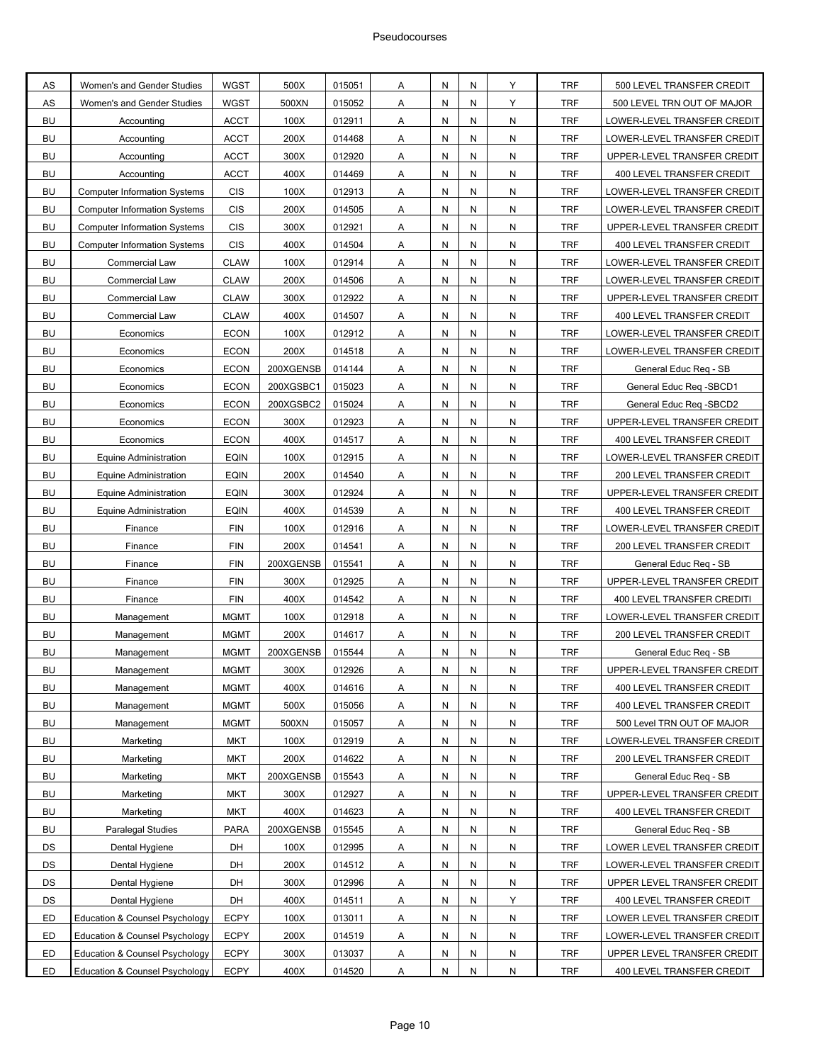| AS        | Women's and Gender Studies                | WGST        | 500X      | 015051 | Α              | Ν | N | Υ         | <b>TRF</b> | 500 LEVEL TRANSFER CREDIT        |
|-----------|-------------------------------------------|-------------|-----------|--------|----------------|---|---|-----------|------------|----------------------------------|
| AS        | Women's and Gender Studies                | <b>WGST</b> | 500XN     | 015052 | Α              | Ν | N | Y         | <b>TRF</b> | 500 LEVEL TRN OUT OF MAJOR       |
| <b>BU</b> | Accounting                                | <b>ACCT</b> | 100X      | 012911 | Α              | N | N | N         | <b>TRF</b> | LOWER-LEVEL TRANSFER CREDIT      |
| <b>BU</b> | Accounting                                | <b>ACCT</b> | 200X      | 014468 | Α              | Ν | N | N         | <b>TRF</b> | LOWER-LEVEL TRANSFER CREDIT      |
| <b>BU</b> | Accounting                                | <b>ACCT</b> | 300X      | 012920 | Α              | Ν | N | N         | <b>TRF</b> | UPPER-LEVEL TRANSFER CREDIT      |
| <b>BU</b> | Accounting                                | <b>ACCT</b> | 400X      | 014469 | Α              | Ν | N | N         | <b>TRF</b> | 400 LEVEL TRANSFER CREDIT        |
| <b>BU</b> | <b>Computer Information Systems</b>       | <b>CIS</b>  | 100X      | 012913 | Α              | Ν | N | N         | <b>TRF</b> | LOWER-LEVEL TRANSFER CREDIT      |
| <b>BU</b> | <b>Computer Information Systems</b>       | <b>CIS</b>  | 200X      | 014505 | Α              | N | N | N         | <b>TRF</b> | LOWER-LEVEL TRANSFER CREDIT      |
| <b>BU</b> | <b>Computer Information Systems</b>       | <b>CIS</b>  | 300X      | 012921 | Α              | Ν | N | N         | <b>TRF</b> | UPPER-LEVEL TRANSFER CREDIT      |
| <b>BU</b> | <b>Computer Information Systems</b>       | <b>CIS</b>  | 400X      | 014504 | Α              | Ν | N | N         | <b>TRF</b> | 400 LEVEL TRANSFER CREDIT        |
| <b>BU</b> | Commercial Law                            | <b>CLAW</b> | 100X      | 012914 | Α              | Ν | N | N         | <b>TRF</b> | LOWER-LEVEL TRANSFER CREDIT      |
| <b>BU</b> | Commercial Law                            | <b>CLAW</b> | 200X      | 014506 | Α              | Ν | N | N         | <b>TRF</b> | LOWER-LEVEL TRANSFER CREDIT      |
| <b>BU</b> | Commercial Law                            | <b>CLAW</b> | 300X      | 012922 | Α              | N | N | N         | <b>TRF</b> | UPPER-LEVEL TRANSFER CREDIT      |
| <b>BU</b> | Commercial Law                            | <b>CLAW</b> | 400X      | 014507 | Α              | Ν | N | N         | <b>TRF</b> | 400 LEVEL TRANSFER CREDIT        |
| <b>BU</b> | Economics                                 | <b>ECON</b> | 100X      | 012912 | A              | Ν | N | N         | <b>TRF</b> | LOWER-LEVEL TRANSFER CREDIT      |
| BU        | Economics                                 | <b>ECON</b> | 200X      | 014518 | Α              | Ν | N | N         | <b>TRF</b> | LOWER-LEVEL TRANSFER CREDIT      |
| <b>BU</b> | Economics                                 | <b>ECON</b> | 200XGENSB | 014144 | Α              | Ν | N | N         | <b>TRF</b> | General Educ Req - SB            |
| <b>BU</b> | Economics                                 | <b>ECON</b> | 200XGSBC1 | 015023 | Α              | N | N | N         | <b>TRF</b> | General Educ Req -SBCD1          |
| <b>BU</b> | Economics                                 | <b>ECON</b> | 200XGSBC2 | 015024 | Α              | Ν | N | N         | <b>TRF</b> | General Educ Reg -SBCD2          |
| <b>BU</b> | Economics                                 | <b>ECON</b> | 300X      | 012923 | Α              | Ν | N | N         | <b>TRF</b> | UPPER-LEVEL TRANSFER CREDIT      |
| BU        | Economics                                 | <b>ECON</b> | 400X      | 014517 | Α              | Ν | N | N         | <b>TRF</b> | <b>400 LEVEL TRANSFER CREDIT</b> |
| <b>BU</b> | <b>Equine Administration</b>              | <b>EQIN</b> | 100X      | 012915 | Α              | Ν | N | N         | <b>TRF</b> | LOWER-LEVEL TRANSFER CREDIT      |
| <b>BU</b> | <b>Equine Administration</b>              | <b>EQIN</b> | 200X      | 014540 | Α              | N | N | N         | <b>TRF</b> | 200 LEVEL TRANSFER CREDIT        |
| <b>BU</b> | <b>Equine Administration</b>              | <b>EQIN</b> | 300X      | 012924 | Α              | Ν | N | N         | <b>TRF</b> | UPPER-LEVEL TRANSFER CREDIT      |
| <b>BU</b> | <b>Equine Administration</b>              | <b>EQIN</b> | 400X      | 014539 | Α              | Ν | N | N         | <b>TRF</b> | 400 LEVEL TRANSFER CREDIT        |
| <b>BU</b> | Finance                                   | <b>FIN</b>  | 100X      | 012916 | Α              | Ν | N | N         | <b>TRF</b> | LOWER-LEVEL TRANSFER CREDIT      |
| <b>BU</b> | Finance                                   | <b>FIN</b>  | 200X      | 014541 | Α              | Ν | N | N         | <b>TRF</b> | 200 LEVEL TRANSFER CREDIT        |
| <b>BU</b> | Finance                                   | <b>FIN</b>  | 200XGENSB | 015541 | Α              | N | N | N         | <b>TRF</b> | General Educ Req - SB            |
| <b>BU</b> | Finance                                   | <b>FIN</b>  | 300X      | 012925 | Α              | Ν | N | N         | <b>TRF</b> | UPPER-LEVEL TRANSFER CREDIT      |
| <b>BU</b> | Finance                                   | <b>FIN</b>  | 400X      | 014542 | Α              | Ν | N | N         | <b>TRF</b> | 400 LEVEL TRANSFER CREDITI       |
| <b>BU</b> | Management                                | <b>MGMT</b> | 100X      | 012918 | Α              | Ν | N | N         | <b>TRF</b> | LOWER-LEVEL TRANSFER CREDIT      |
| <b>BU</b> | Management                                | <b>MGMT</b> | 200X      | 014617 | Α              | Ν | N | N         | <b>TRF</b> | 200 LEVEL TRANSFER CREDIT        |
| <b>BU</b> | Management                                | <b>MGMT</b> | 200XGENSB | 015544 | Α              | N | N | N         | <b>TRF</b> | General Educ Req - SB            |
| BU        | Management                                | <b>MGMT</b> | 300X      | 012926 | A              | N | N | N         | <b>TRF</b> | UPPER-LEVEL TRANSFER CREDIT      |
| BU        | Management                                | <b>MGMT</b> | 400X      | 014616 | A              | N | N | N         | <b>TRF</b> | 400 LEVEL TRANSFER CREDIT        |
| BU        | Management                                | <b>MGMT</b> | 500X      | 015056 | A              | Ν | N | N         | TRF        | 400 LEVEL TRANSFER CREDIT        |
| BU        | Management                                | <b>MGMT</b> | 500XN     | 015057 | Α              | N | N | ${\sf N}$ | <b>TRF</b> | 500 Level TRN OUT OF MAJOR       |
| BU        | Marketing                                 | <b>MKT</b>  | 100X      | 012919 | A              | N | N | ${\sf N}$ | <b>TRF</b> | LOWER-LEVEL TRANSFER CREDIT      |
| BU        | Marketing                                 | <b>MKT</b>  | 200X      | 014622 | A              | N | N | ${\sf N}$ | <b>TRF</b> | 200 LEVEL TRANSFER CREDIT        |
| <b>BU</b> | Marketing                                 | <b>MKT</b>  | 200XGENSB | 015543 | $\overline{A}$ | N | N | ${\sf N}$ | <b>TRF</b> | General Educ Reg - SB            |
| BU        | Marketing                                 | MKT         | 300X      | 012927 | Α              | N | N | ${\sf N}$ | <b>TRF</b> | UPPER-LEVEL TRANSFER CREDIT      |
| <b>BU</b> | Marketing                                 | <b>MKT</b>  | 400X      | 014623 | Α              | N | N | ${\sf N}$ | <b>TRF</b> | 400 LEVEL TRANSFER CREDIT        |
| BU        | Paralegal Studies                         | <b>PARA</b> | 200XGENSB | 015545 | A              | N | N | ${\sf N}$ | <b>TRF</b> | General Educ Req - SB            |
| DS        | Dental Hygiene                            | DH          | 100X      | 012995 | $\mathsf{A}$   | N | N | ${\sf N}$ | <b>TRF</b> | LOWER LEVEL TRANSFER CREDIT      |
| DS        | Dental Hygiene                            | DH          | 200X      | 014512 | $\overline{A}$ | N | N | ${\sf N}$ | <b>TRF</b> | LOWER-LEVEL TRANSFER CREDIT      |
| DS        | Dental Hygiene                            | DH          | 300X      | 012996 | A              | N | N | N         | <b>TRF</b> | UPPER LEVEL TRANSFER CREDIT      |
| DS        | Dental Hygiene                            | DH          | 400X      | 014511 | A              | N | N | Y         | <b>TRF</b> | 400 LEVEL TRANSFER CREDIT        |
| ED        | Education & Counsel Psychology            | <b>ECPY</b> | 100X      | 013011 | A              | N | N | ${\sf N}$ | <b>TRF</b> | LOWER LEVEL TRANSFER CREDIT      |
| ED        | Education & Counsel Psychology            | <b>ECPY</b> | 200X      | 014519 | $\mathsf{A}$   | N | N | ${\sf N}$ | <b>TRF</b> | LOWER-LEVEL TRANSFER CREDIT      |
| ED        | <b>Education &amp; Counsel Psychology</b> | <b>ECPY</b> | 300X      | 013037 | A              | N | N | ${\sf N}$ | <b>TRF</b> | UPPER LEVEL TRANSFER CREDIT      |
| ED        | Education & Counsel Psychology            | <b>ECPY</b> | 400X      | 014520 | Α              | Ν | N | N         | TRF        | 400 LEVEL TRANSFER CREDIT        |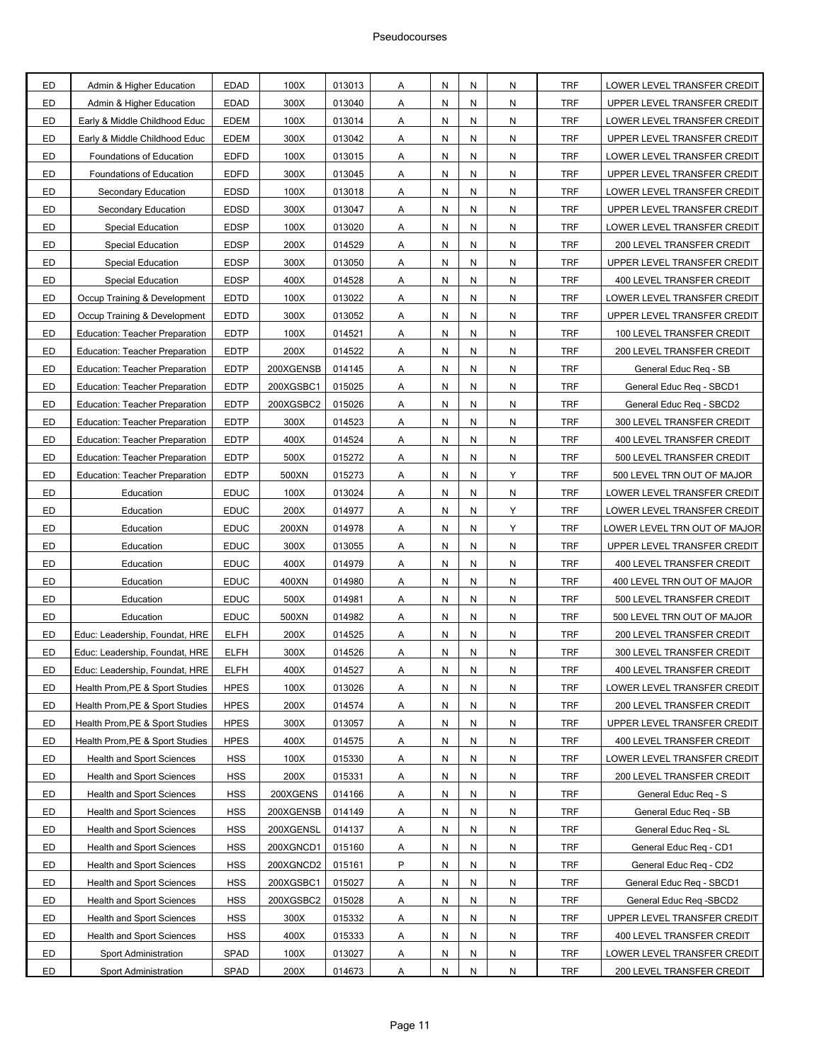| ED        | Admin & Higher Education              | <b>EDAD</b> | 100X      | 013013 | Α            | N         | N | N | <b>TRF</b> | LOWER LEVEL TRANSFER CREDIT      |
|-----------|---------------------------------------|-------------|-----------|--------|--------------|-----------|---|---|------------|----------------------------------|
| ED        | Admin & Higher Education              | <b>EDAD</b> | 300X      | 013040 | Α            | N         | N | N | <b>TRF</b> | UPPER LEVEL TRANSFER CREDIT      |
| ED        | Early & Middle Childhood Educ         | <b>EDEM</b> | 100X      | 013014 | Α            | N         | N | N | <b>TRF</b> | LOWER LEVEL TRANSFER CREDIT      |
| ED        | Early & Middle Childhood Educ         | <b>EDEM</b> | 300X      | 013042 | Α            | N         | N | N | <b>TRF</b> | UPPER LEVEL TRANSFER CREDIT      |
| ED        | Foundations of Education              | <b>EDFD</b> | 100X      | 013015 | Α            | N         | N | N | <b>TRF</b> | LOWER LEVEL TRANSFER CREDIT      |
| ED        | Foundations of Education              | <b>EDFD</b> | 300X      | 013045 | Α            | N         | N | N | <b>TRF</b> | UPPER LEVEL TRANSFER CREDIT      |
| ED        | Secondary Education                   | <b>EDSD</b> | 100X      | 013018 | Α            | N         | N | N | <b>TRF</b> | LOWER LEVEL TRANSFER CREDIT      |
| ED        | Secondary Education                   | <b>EDSD</b> | 300X      | 013047 | Α            | N         | N | N | <b>TRF</b> | UPPER LEVEL TRANSFER CREDIT      |
| ED        | <b>Special Education</b>              | <b>EDSP</b> | 100X      | 013020 | Α            | N         | N | N | TRF        | LOWER LEVEL TRANSFER CREDIT      |
| ED        | Special Education                     | <b>EDSP</b> | 200X      | 014529 | Α            | N         | N | N | <b>TRF</b> | 200 LEVEL TRANSFER CREDIT        |
| ED        | <b>Special Education</b>              | <b>EDSP</b> | 300X      | 013050 | Α            | N         | N | N | <b>TRF</b> | UPPER LEVEL TRANSFER CREDIT      |
| ED        | <b>Special Education</b>              | <b>EDSP</b> | 400X      | 014528 | Α            | N         | N | N | <b>TRF</b> | 400 LEVEL TRANSFER CREDIT        |
| ED        | Occup Training & Development          | <b>EDTD</b> | 100X      | 013022 | Α            | N         | N | N | <b>TRF</b> | LOWER LEVEL TRANSFER CREDIT      |
| ED        | Occup Training & Development          | <b>EDTD</b> | 300X      | 013052 | Α            | N         | N | N | <b>TRF</b> | UPPER LEVEL TRANSFER CREDIT      |
| ED        | <b>Education: Teacher Preparation</b> | <b>EDTP</b> | 100X      | 014521 | Α            | N         | N | N | <b>TRF</b> | 100 LEVEL TRANSFER CREDIT        |
| ED        | <b>Education: Teacher Preparation</b> | <b>EDTP</b> | 200X      | 014522 | Α            | N         | N | N | <b>TRF</b> | 200 LEVEL TRANSFER CREDIT        |
| ED        | <b>Education: Teacher Preparation</b> | <b>EDTP</b> | 200XGENSB | 014145 | Α            | N         | N | N | <b>TRF</b> | General Educ Reg - SB            |
| ED        | <b>Education: Teacher Preparation</b> | <b>EDTP</b> | 200XGSBC1 | 015025 | Α            | N         | N | N | <b>TRF</b> | General Educ Req - SBCD1         |
| ED        | <b>Education: Teacher Preparation</b> | <b>EDTP</b> | 200XGSBC2 | 015026 | Α            | N         | N | N | TRF        | General Educ Req - SBCD2         |
| ED        | Education: Teacher Preparation        | <b>EDTP</b> | 300X      | 014523 | Α            | N         | N | N | <b>TRF</b> | 300 LEVEL TRANSFER CREDIT        |
| ED        | <b>Education: Teacher Preparation</b> | <b>EDTP</b> | 400X      | 014524 | Α            | N         | N | N | <b>TRF</b> | 400 LEVEL TRANSFER CREDIT        |
| ED        | <b>Education: Teacher Preparation</b> | <b>EDTP</b> | 500X      | 015272 | Α            | N         | N | N | <b>TRF</b> | 500 LEVEL TRANSFER CREDIT        |
| ED        | Education: Teacher Preparation        | <b>EDTP</b> | 500XN     | 015273 | Α            | N         | N | Υ | <b>TRF</b> | 500 LEVEL TRN OUT OF MAJOR       |
| ED        | Education                             | <b>EDUC</b> | 100X      | 013024 | Α            | N         | N | N | <b>TRF</b> | LOWER LEVEL TRANSFER CREDIT      |
| ED        | Education                             | <b>EDUC</b> | 200X      | 014977 | Α            | N         | N | Y | <b>TRF</b> | LOWER LEVEL TRANSFER CREDIT      |
| ED        | Education                             | <b>EDUC</b> | 200XN     | 014978 | Α            | N         | N | Y | <b>TRF</b> | LOWER LEVEL TRN OUT OF MAJOR     |
| ED        | Education                             | <b>EDUC</b> | 300X      | 013055 | Α            | N         | N | N | <b>TRF</b> | UPPER LEVEL TRANSFER CREDIT      |
| ED        | Education                             | <b>EDUC</b> | 400X      | 014979 | Α            | N         | N | N | <b>TRF</b> | 400 LEVEL TRANSFER CREDIT        |
| ED        | Education                             | <b>EDUC</b> | 400XN     | 014980 | Α            | N         | N | N | <b>TRF</b> | 400 LEVEL TRN OUT OF MAJOR       |
| ED        | Education                             | <b>EDUC</b> | 500X      | 014981 | Α            | N         | N | N | <b>TRF</b> | 500 LEVEL TRANSFER CREDIT        |
| ED        | Education                             | <b>EDUC</b> | 500XN     | 014982 | Α            | N         | N | N | <b>TRF</b> | 500 LEVEL TRN OUT OF MAJOR       |
| ED        | Educ: Leadership, Foundat, HRE        | <b>ELFH</b> | 200X      | 014525 | Α            | N         | N | N | <b>TRF</b> | 200 LEVEL TRANSFER CREDIT        |
| ED        | Educ: Leadership, Foundat, HRE        | <b>ELFH</b> | 300X      | 014526 | Α            | Ν         | N | N | <b>TRF</b> | 300 LEVEL TRANSFER CREDIT        |
| ED        | Educ: Leadership, Foundat, HRE        | <b>ELFH</b> | 400X      | 014527 | Α            | Ν         | N | N | <b>TRF</b> | 400 LEVEL TRANSFER CREDIT        |
| ED        | Health Prom, PE & Sport Studies       | <b>HPES</b> | 100X      | 013026 | A            | ${\sf N}$ | N | N | <b>TRF</b> | LOWER LEVEL TRANSFER CREDIT      |
| ED        | Health Prom, PE & Sport Studies       | <b>HPES</b> | 200X      | 014574 | A            | ${\sf N}$ | N | N | <b>TRF</b> | 200 LEVEL TRANSFER CREDIT        |
| ED        | Health Prom, PE & Sport Studies       | <b>HPES</b> | 300X      | 013057 | Α            | N         | N | N | <b>TRF</b> | UPPER LEVEL TRANSFER CREDIT      |
| ED        | Health Prom, PE & Sport Studies       | <b>HPES</b> | 400X      | 014575 | $\mathsf{A}$ | N         | N | N | <b>TRF</b> | 400 LEVEL TRANSFER CREDIT        |
| ED        | Health and Sport Sciences             | <b>HSS</b>  | 100X      | 015330 | A            | N         | N | N | TRF        | LOWER LEVEL TRANSFER CREDIT      |
| ED        | <b>Health and Sport Sciences</b>      | <b>HSS</b>  | 200X      | 015331 | Α            | N         | N | N | <b>TRF</b> | 200 LEVEL TRANSFER CREDIT        |
| ED        | <b>Health and Sport Sciences</b>      | <b>HSS</b>  | 200XGENS  | 014166 | A            | Ν         | N | N | <b>TRF</b> | General Educ Reg - S             |
| ED        | <b>Health and Sport Sciences</b>      | <b>HSS</b>  | 200XGENSB | 014149 | Α            | N         | N | N | <b>TRF</b> | General Educ Req - SB            |
| ED        | Health and Sport Sciences             | <b>HSS</b>  | 200XGENSL | 014137 | $\mathsf{A}$ | N         | N | N | <b>TRF</b> | General Educ Reg - SL            |
| ED        | Health and Sport Sciences             | <b>HSS</b>  | 200XGNCD1 | 015160 | A            | N         | N | N | TRF        | General Educ Req - CD1           |
| <b>ED</b> | <b>Health and Sport Sciences</b>      | <b>HSS</b>  | 200XGNCD2 | 015161 | P            | ${\sf N}$ | N | N | <b>TRF</b> | General Educ Req - CD2           |
| ED        | <b>Health and Sport Sciences</b>      | <b>HSS</b>  | 200XGSBC1 | 015027 | Α            | N         | N | N | TRF        | General Educ Req - SBCD1         |
| ED        | Health and Sport Sciences             | <b>HSS</b>  | 200XGSBC2 | 015028 | Α            | ${\sf N}$ | N | N | <b>TRF</b> | General Educ Req -SBCD2          |
| ED        | Health and Sport Sciences             | <b>HSS</b>  | 300X      | 015332 | $\mathsf{A}$ | N         | N | N | <b>TRF</b> | UPPER LEVEL TRANSFER CREDIT      |
| ED        | Health and Sport Sciences             | <b>HSS</b>  | 400X      | 015333 | Α            | N         | N | N | TRF        | 400 LEVEL TRANSFER CREDIT        |
| ED        | Sport Administration                  | SPAD        | 100X      | 013027 | Α            | N         | N | N | <b>TRF</b> | LOWER LEVEL TRANSFER CREDIT      |
| ED        | <b>Sport Administration</b>           | <b>SPAD</b> | 200X      | 014673 | Α            | N         | N | N | TRF        | <b>200 LEVEL TRANSFER CREDIT</b> |
|           |                                       |             |           |        |              |           |   |   |            |                                  |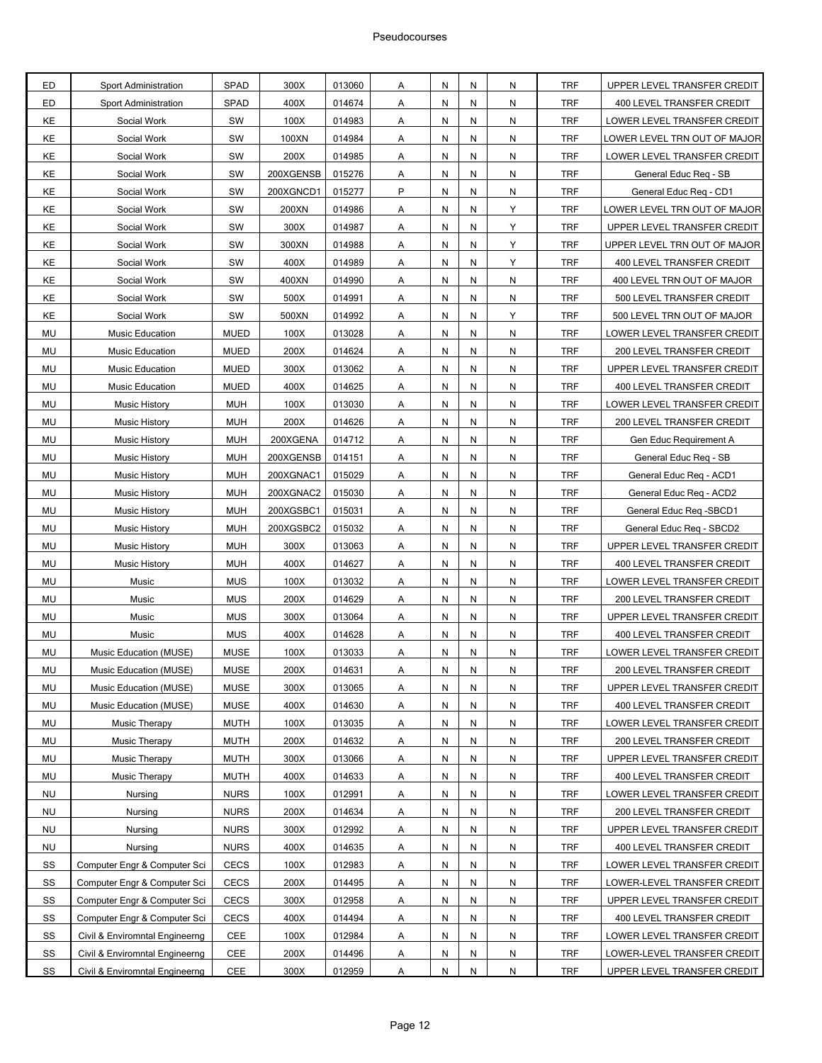| ED        | Sport Administration           | SPAD        | 300X      | 013060 | Α              | N  | N                       | N | TRF        | UPPER LEVEL TRANSFER CREDIT  |
|-----------|--------------------------------|-------------|-----------|--------|----------------|----|-------------------------|---|------------|------------------------------|
| ED        | Sport Administration           | SPAD        | 400X      | 014674 | Α              | N  | N                       | N | <b>TRF</b> | 400 LEVEL TRANSFER CREDIT    |
| KE        | Social Work                    | SW          | 100X      | 014983 | Α              | N  | N                       | N | <b>TRF</b> | LOWER LEVEL TRANSFER CREDIT  |
| KE        | Social Work                    | SW          | 100XN     | 014984 | Α              | N  | N                       | N | <b>TRF</b> | OWER LEVEL TRN OUT OF MAJOR. |
| KE        | Social Work                    | SW          | 200X      | 014985 | Α              | N  | N                       | N | <b>TRF</b> | LOWER LEVEL TRANSFER CREDIT  |
| KE        | Social Work                    | SW          | 200XGENSB | 015276 | Α              | N  | N                       | N | <b>TRF</b> | General Educ Reg - SB        |
| KE        | Social Work                    | SW          | 200XGNCD1 | 015277 | P              | N  | N                       | N | <b>TRF</b> | General Educ Req - CD1       |
| KE        | Social Work                    | SW          | 200XN     | 014986 | Α              | N  | N                       | Y | <b>TRF</b> | LOWER LEVEL TRN OUT OF MAJOR |
| KE        | Social Work                    | SW          | 300X      | 014987 | Α              | N  | N                       | Y | <b>TRF</b> | UPPER LEVEL TRANSFER CREDIT  |
| KE        | Social Work                    | SW          | 300XN     | 014988 | Α              | N  | N                       | Y | <b>TRF</b> | UPPER LEVEL TRN OUT OF MAJOR |
| KE        | Social Work                    | SW          | 400X      | 014989 | Α              | N  | N                       | Υ | <b>TRF</b> | 400 LEVEL TRANSFER CREDIT    |
| KE        | Social Work                    | SW          | 400XN     | 014990 | Α              | N  | N                       | N | <b>TRF</b> | 400 LEVEL TRN OUT OF MAJOR   |
| KE        | Social Work                    | SW          | 500X      | 014991 | Α              | N  | N                       | N | <b>TRF</b> | 500 LEVEL TRANSFER CREDIT    |
| KE        | Social Work                    | SW          | 500XN     | 014992 | Α              | N  | N                       | Υ | <b>TRF</b> | 500 LEVEL TRN OUT OF MAJOR   |
| <b>MU</b> | <b>Music Education</b>         | <b>MUED</b> | 100X      | 013028 | Α              | N  | N                       | N | <b>TRF</b> | LOWER LEVEL TRANSFER CREDIT  |
| MU        | <b>Music Education</b>         | <b>MUED</b> | 200X      | 014624 | Α              | N  | N                       | N | <b>TRF</b> | 200 LEVEL TRANSFER CREDIT    |
| MU        | <b>Music Education</b>         | <b>MUED</b> | 300X      | 013062 | Α              | N  | N                       | N | <b>TRF</b> | UPPER LEVEL TRANSFER CREDIT  |
| MU        | <b>Music Education</b>         | <b>MUED</b> | 400X      | 014625 | Α              | N  | N                       | N | <b>TRF</b> | 400 LEVEL TRANSFER CREDIT    |
| MU        | <b>Music History</b>           | <b>MUH</b>  | 100X      | 013030 | Α              | N  | N                       | N | <b>TRF</b> | LOWER LEVEL TRANSFER CREDIT  |
| MU        | <b>Music History</b>           | <b>MUH</b>  | 200X      | 014626 | Α              | N  | N                       | N | <b>TRF</b> | 200 LEVEL TRANSFER CREDIT    |
| MU        | <b>Music History</b>           | <b>MUH</b>  | 200XGENA  | 014712 | Α              | N  | N                       | N | <b>TRF</b> | Gen Educ Requirement A       |
| MU        | <b>Music History</b>           | <b>MUH</b>  | 200XGENSB | 014151 | Α              | N  | N                       | N | <b>TRF</b> | General Educ Req - SB        |
| MU        | <b>Music History</b>           | <b>MUH</b>  | 200XGNAC1 | 015029 | Α              | N  | N                       | N | <b>TRF</b> | General Educ Req - ACD1      |
| MU        | <b>Music History</b>           | <b>MUH</b>  | 200XGNAC2 | 015030 | Α              | N  | N                       | N | <b>TRF</b> | General Educ Req - ACD2      |
| MU        | <b>Music History</b>           | <b>MUH</b>  | 200XGSBC1 | 015031 | Α              | N  | N                       | N | <b>TRF</b> | General Educ Req -SBCD1      |
| MU        | <b>Music History</b>           | <b>MUH</b>  | 200XGSBC2 | 015032 | Α              | N  | N                       | N | <b>TRF</b> | General Educ Req - SBCD2     |
| MU        | <b>Music History</b>           | <b>MUH</b>  | 300X      | 013063 | Α              | N  | N                       | N | <b>TRF</b> | UPPER LEVEL TRANSFER CREDIT  |
| MU        | <b>Music History</b>           | <b>MUH</b>  | 400X      | 014627 | Α              | N  | N                       | N | <b>TRF</b> | 400 LEVEL TRANSFER CREDIT    |
| MU        | Music                          | <b>MUS</b>  | 100X      | 013032 | Α              | N  | N                       | N | <b>TRF</b> | LOWER LEVEL TRANSFER CREDIT  |
| MU        | Music                          | <b>MUS</b>  | 200X      | 014629 | Α              | N  | N                       | N | <b>TRF</b> | 200 LEVEL TRANSFER CREDIT    |
| MU        | Music                          | <b>MUS</b>  | 300X      | 013064 | Α              | N  | N                       | N | <b>TRF</b> | UPPER LEVEL TRANSFER CREDIT  |
| MU        | Music                          | <b>MUS</b>  | 400X      | 014628 | Α              | N  | N                       | N | <b>TRF</b> | 400 LEVEL TRANSFER CREDIT    |
| MU        | Music Education (MUSE)         | <b>MUSE</b> | 100X      | 013033 | Α              | N  | N                       | N | <b>TRF</b> | LOWER LEVEL TRANSFER CREDIT  |
| MU        | Music Education (MUSE)         | <b>MUSE</b> | 200X      | 014631 | A              | N  | N                       | N | <b>TRF</b> | 200 LEVEL TRANSFER CREDIT    |
| MU        | Music Education (MUSE)         | <b>MUSE</b> | 300X      | 013065 | A              | N  | N                       | N | <b>TRF</b> | UPPER LEVEL TRANSFER CREDIT  |
| MU        | Music Education (MUSE)         | <b>MUSE</b> | 400X      | 014630 | $\mathsf{A}$   | N  | ${\sf N}$               | N | TRF        | 400 LEVEL TRANSFER CREDIT    |
| MU        | Music Therapy                  | <b>MUTH</b> | 100X      | 013035 | Α              | N  | N                       | N | <b>TRF</b> | LOWER LEVEL TRANSFER CREDIT  |
| MU        | <b>Music Therapy</b>           | <b>MUTH</b> | 200X      | 014632 | Α              | N  | N                       | N | <b>TRF</b> | 200 LEVEL TRANSFER CREDIT    |
| MU        | Music Therapy                  | <b>MUTH</b> | 300X      | 013066 | А              |    |                         | N | <b>TRF</b> | UPPER LEVEL TRANSFER CREDIT  |
|           |                                |             |           |        |                | N  | N                       |   | <b>TRF</b> |                              |
| MU        | Music Therapy                  | <b>MUTH</b> | 400X      | 014633 | $\overline{A}$ | N  | N                       | N |            | 400 LEVEL TRANSFER CREDIT    |
| <b>NU</b> | Nursing                        | <b>NURS</b> | 100X      | 012991 | $\mathsf{A}$   | N  | N                       | N | TRF        | LOWER LEVEL TRANSFER CREDIT  |
| <b>NU</b> | Nursing                        | <b>NURS</b> | 200X      | 014634 | Α              | N  | N                       | N | <b>TRF</b> | 200 LEVEL TRANSFER CREDIT    |
| <b>NU</b> | Nursing                        | <b>NURS</b> | 300X      | 012992 | A              | N  | N                       | N | TRF        | UPPER LEVEL TRANSFER CREDIT  |
| <b>NU</b> | Nursing                        | <b>NURS</b> | 400X      | 014635 | Α              | N  | ${\sf N}$               | N | <b>TRF</b> | 400 LEVEL TRANSFER CREDIT    |
| SS        | Computer Engr & Computer Sci   | <b>CECS</b> | 100X      | 012983 | A              | N  | N                       | N | <b>TRF</b> | LOWER LEVEL TRANSFER CREDIT  |
| SS        | Computer Engr & Computer Sci   | CECS        | 200X      | 014495 | $\mathsf{A}$   | N  | N                       | N | TRF        | LOWER-LEVEL TRANSFER CREDIT  |
| SS        | Computer Engr & Computer Sci   | <b>CECS</b> | 300X      | 012958 | Α              | N  | N                       | N | <b>TRF</b> | UPPER LEVEL TRANSFER CREDIT  |
| SS        | Computer Engr & Computer Sci   | CECS        | 400X      | 014494 | Α              | N  | N                       | N | TRF        | 400 LEVEL TRANSFER CREDIT    |
| SS        | Civil & Enviromntal Engineerng | CEE         | 100X      | 012984 | Α              | N  | N                       | N | <b>TRF</b> | LOWER LEVEL TRANSFER CREDIT  |
| SS        | Civil & Enviromntal Engineerng | <b>CEE</b>  | 200X      | 014496 | $\overline{A}$ | N, | $\overline{\mathsf{N}}$ | N | <b>TRF</b> | LOWER-LEVEL TRANSFER CREDIT  |
| SS        | Civil & Enviromntal Engineerng | <b>CEE</b>  | 300X      | 012959 | Α              | N  | N                       | N | <b>TRF</b> | UPPER LEVEL TRANSFER CREDIT  |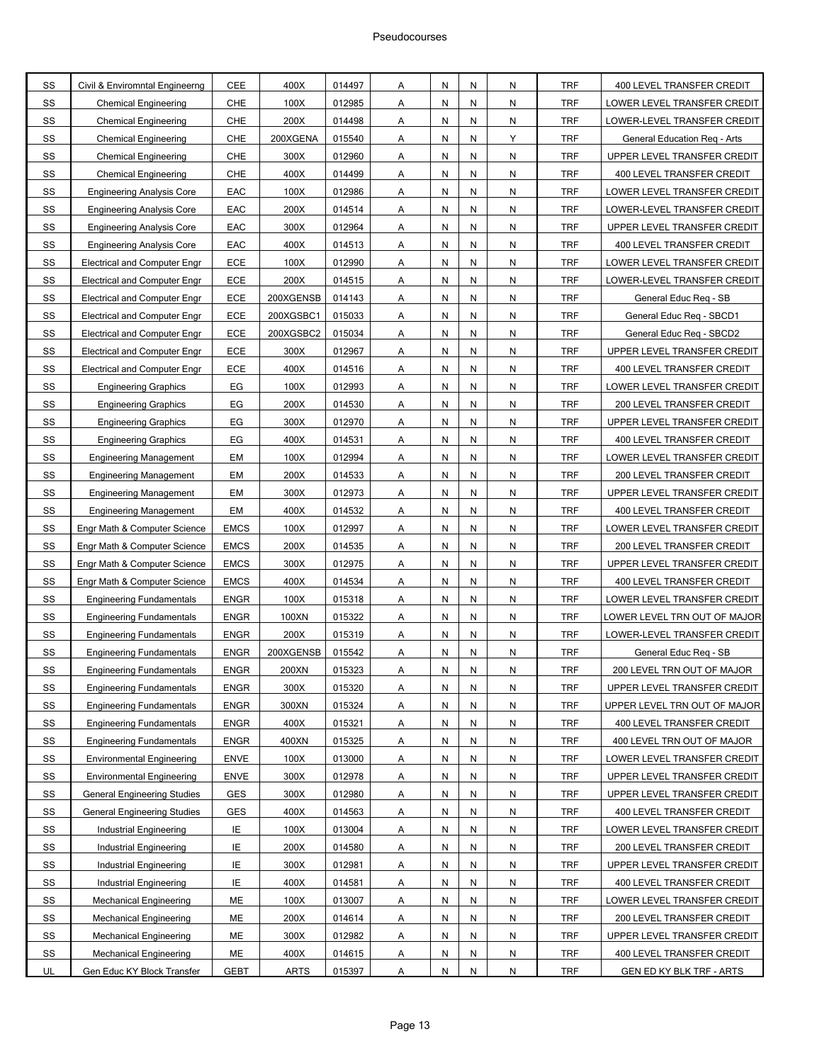| SS        | Civil & Enviromntal Engineerng      | <b>CEE</b>  | 400X        | 014497 | Α              | Ν | N | N         | <b>TRF</b> | 400 LEVEL TRANSFER CREDIT       |
|-----------|-------------------------------------|-------------|-------------|--------|----------------|---|---|-----------|------------|---------------------------------|
| SS        | <b>Chemical Engineering</b>         | CHE         | 100X        | 012985 | Α              | N | N | N         | <b>TRF</b> | LOWER LEVEL TRANSFER CREDIT     |
| SS        | Chemical Engineering                | CHE         | 200X        | 014498 | Α              | Ν | N | N         | <b>TRF</b> | LOWER-LEVEL TRANSFER CREDIT     |
| SS        | <b>Chemical Engineering</b>         | CHE         | 200XGENA    | 015540 | Α              | N | N | Y         | <b>TRF</b> | General Education Reg - Arts    |
| SS        | <b>Chemical Engineering</b>         | CHE         | 300X        | 012960 | Α              | N | N | N         | <b>TRF</b> | UPPER LEVEL TRANSFER CREDIT     |
| SS        | <b>Chemical Engineering</b>         | CHE         | 400X        | 014499 | Α              | Ν | N | N         | <b>TRF</b> | 400 LEVEL TRANSFER CREDIT       |
| SS        | <b>Engineering Analysis Core</b>    | EAC         | 100X        | 012986 | Α              | N | N | N         | <b>TRF</b> | LOWER LEVEL TRANSFER CREDIT     |
| SS        | <b>Engineering Analysis Core</b>    | EAC         | 200X        | 014514 | Α              | Ν | N | N         | <b>TRF</b> | LOWER-LEVEL TRANSFER CREDIT     |
| SS        | <b>Engineering Analysis Core</b>    | EAC         | 300X        | 012964 | Α              | N | N | N         | <b>TRF</b> | UPPER LEVEL TRANSFER CREDIT     |
| SS        | <b>Engineering Analysis Core</b>    | EAC         | 400X        | 014513 | A              | N | N | N         | <b>TRF</b> | 400 LEVEL TRANSFER CREDIT       |
| SS        | <b>Electrical and Computer Engr</b> | ECE         | 100X        | 012990 | Α              | Ν | N | N         | <b>TRF</b> | LOWER LEVEL TRANSFER CREDIT     |
| SS        | <b>Electrical and Computer Engr</b> | ECE         | 200X        | 014515 | Α              | N | N | N         | <b>TRF</b> | LOWER-LEVEL TRANSFER CREDIT     |
| SS        | <b>Electrical and Computer Engr</b> | ECE         | 200XGENSB   | 014143 | Α              | Ν | N | N         | <b>TRF</b> | General Educ Reg - SB           |
| SS        | <b>Electrical and Computer Engr</b> | ECE         | 200XGSBC1   | 015033 | Α              | N | N | ${\sf N}$ | <b>TRF</b> | General Educ Req - SBCD1        |
| SS        | <b>Electrical and Computer Engr</b> | ECE         | 200XGSBC2   | 015034 | Α              | N | N | ${\sf N}$ | <b>TRF</b> | General Educ Req - SBCD2        |
| SS        | <b>Electrical and Computer Engr</b> | ECE         | 300X        | 012967 | Α              | Ν | N | N         | <b>TRF</b> | UPPER LEVEL TRANSFER CREDIT     |
| SS        | <b>Electrical and Computer Engr</b> | ECE         | 400X        | 014516 | Α              | N | N | N         | <b>TRF</b> | 400 LEVEL TRANSFER CREDIT       |
| SS        | <b>Engineering Graphics</b>         | EG          | 100X        | 012993 | Α              | Ν | N | N         | <b>TRF</b> | LOWER LEVEL TRANSFER CREDIT     |
| SS        | <b>Engineering Graphics</b>         | EG          | 200X        | 014530 | Α              | N | N | N         | <b>TRF</b> | 200 LEVEL TRANSFER CREDIT       |
| SS        | <b>Engineering Graphics</b>         | EG          | 300X        | 012970 | A              | N | N | N         | <b>TRF</b> | UPPER LEVEL TRANSFER CREDIT     |
| SS        | <b>Engineering Graphics</b>         | EG          | 400X        | 014531 | Α              | Ν | N | N         | <b>TRF</b> | 400 LEVEL TRANSFER CREDIT       |
| SS        | <b>Engineering Management</b>       | EM          | 100X        | 012994 | Α              | N | N | ${\sf N}$ | <b>TRF</b> | LOWER LEVEL TRANSFER CREDIT     |
| SS        | <b>Engineering Management</b>       | EM          | 200X        | 014533 | Α              | Ν | N | N         | <b>TRF</b> | 200 LEVEL TRANSFER CREDIT       |
| SS        | <b>Engineering Management</b>       | EM          | 300X        | 012973 | Α              | N | N | N         | <b>TRF</b> | UPPER LEVEL TRANSFER CREDIT     |
| SS        | <b>Engineering Management</b>       | EM          | 400X        | 014532 | Α              | N | N | N         | <b>TRF</b> | 400 LEVEL TRANSFER CREDIT       |
| SS        | Engr Math & Computer Science        | <b>EMCS</b> | 100X        | 012997 | Α              | Ν | N | N         | <b>TRF</b> | LOWER LEVEL TRANSFER CREDIT     |
| SS        | Engr Math & Computer Science        | <b>EMCS</b> | 200X        | 014535 | Α              | N | N | N         | <b>TRF</b> | 200 LEVEL TRANSFER CREDIT       |
| SS        | Engr Math & Computer Science        | <b>EMCS</b> | 300X        | 012975 | Α              | Ν | N | N         | <b>TRF</b> | UPPER LEVEL TRANSFER CREDIT     |
| SS        | Engr Math & Computer Science        | <b>EMCS</b> | 400X        | 014534 | А              | N | N | N         | <b>TRF</b> | 400 LEVEL TRANSFER CREDIT       |
| SS        | <b>Engineering Fundamentals</b>     | <b>ENGR</b> | 100X        | 015318 | A              | N | N | N         | <b>TRF</b> | LOWER LEVEL TRANSFER CREDIT     |
| SS        | <b>Engineering Fundamentals</b>     | <b>ENGR</b> | 100XN       | 015322 | Α              | Ν | N | N         | IRF        | LOWER LEVEL TRN OUT OF MAJOR    |
| SS        | <b>Engineering Fundamentals</b>     | <b>ENGR</b> | 200X        | 015319 | Α              | N | N | N         | <b>TRF</b> | LOWER-LEVEL TRANSFER CREDIT     |
| SS        | <b>Engineering Fundamentals</b>     | <b>ENGR</b> | 200XGENSB   | 015542 | Α              | N | N | N         | <b>TRF</b> | General Educ Req - SB           |
| SS        | Engineering Fundamentals            | <b>ENGR</b> | 200XN       | 015323 | A              | N | N | N         | <b>TRF</b> | 200 LEVEL TRN OUT OF MAJOR      |
| SS        | <b>Engineering Fundamentals</b>     | <b>ENGR</b> | 300X        | 015320 | $\mathsf{A}$   | N | N | N         | <b>TRF</b> | UPPER LEVEL TRANSFER CREDIT     |
| SS        | <b>Engineering Fundamentals</b>     | <b>ENGR</b> | 300XN       | 015324 | $\mathsf{A}$   | N | N | ${\sf N}$ | <b>TRF</b> | UPPER LEVEL TRN OUT OF MAJOR    |
| SS        | <b>Engineering Fundamentals</b>     | <b>ENGR</b> | 400X        | 015321 | Α              | N | N | ${\sf N}$ | <b>TRF</b> | 400 LEVEL TRANSFER CREDIT       |
| SS        | <b>Engineering Fundamentals</b>     | <b>ENGR</b> | 400XN       | 015325 | A              | N | N | N         | <b>TRF</b> | 400 LEVEL TRN OUT OF MAJOR      |
| SS        | <b>Environmental Engineering</b>    | <b>ENVE</b> | 100X        | 013000 | A              | N | N | N         | <b>TRF</b> | LOWER LEVEL TRANSFER CREDIT     |
| SS        | <b>Environmental Engineering</b>    | <b>ENVE</b> | 300X        | 012978 | A              | N | N | ${\sf N}$ | <b>TRF</b> | UPPER LEVEL TRANSFER CREDIT     |
| SS        | <b>General Engineering Studies</b>  | GES         | 300X        | 012980 | $\overline{A}$ | N | N | ${\sf N}$ | <b>TRF</b> | UPPER LEVEL TRANSFER CREDIT     |
| SS        | <b>General Engineering Studies</b>  | GES         | 400X        | 014563 | Α              | N | N | ${\sf N}$ | <b>TRF</b> | 400 LEVEL TRANSFER CREDIT       |
| SS        | Industrial Engineering              | IE.         | 100X        | 013004 | A              | N | N | N         | <b>TRF</b> | LOWER LEVEL TRANSFER CREDIT     |
| SS        | <b>Industrial Engineering</b>       | IE          | 200X        | 014580 | A              | N | N | N         | <b>TRF</b> | 200 LEVEL TRANSFER CREDIT       |
| SS        | <b>Industrial Engineering</b>       | IE          | 300X        | 012981 | $\mathsf{A}$   | N | N | N         | <b>TRF</b> | UPPER LEVEL TRANSFER CREDIT     |
| SS        | Industrial Engineering              | IE          | 400X        | 014581 | $\overline{A}$ | N | N | ${\sf N}$ | <b>TRF</b> | 400 LEVEL TRANSFER CREDIT       |
| <b>SS</b> | <b>Mechanical Engineering</b>       | ME          | 100X        | 013007 | Α              | N | N | ${\sf N}$ | <b>TRF</b> | LOWER LEVEL TRANSFER CREDIT     |
| SS        | <b>Mechanical Engineering</b>       | ME          | 200X        | 014614 | Α              | N | N | N         | <b>TRF</b> | 200 LEVEL TRANSFER CREDIT       |
| SS        | <b>Mechanical Engineering</b>       | ME          | 300X        | 012982 | Α              | N | N | N         | <b>TRF</b> | UPPER LEVEL TRANSFER CREDIT     |
| <b>SS</b> | <b>Mechanical Engineering</b>       | ME          | 400X        | 014615 | A              | N | N | N         | <b>TRF</b> | 400 LEVEL TRANSFER CREDIT       |
| UL        | Gen Educ KY Block Transfer          | <b>GEBT</b> | <b>ARTS</b> | 015397 | A              | N | N | ${\sf N}$ | <b>TRF</b> | <b>GEN ED KY BLK TRF - ARTS</b> |